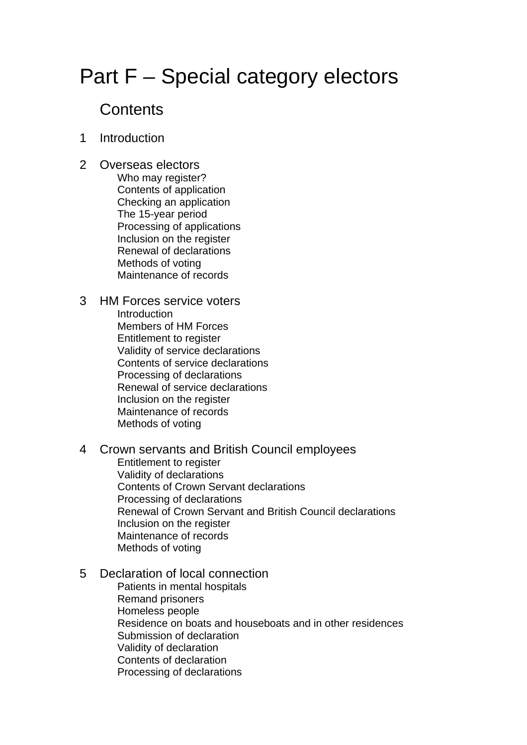# Part F – Special category electors

## **Contents**

- 1 Introduction
- 2 Overseas electors Who may register? Contents of application Checking an application The 15-year period Processing of applications Inclusion on the register Renewal of declarations Methods of voting Maintenance of records
- 3 HM Forces service voters Introduction Members of HM Forces Entitlement to register Validity of service declarations Contents of service declarations Processing of declarations Renewal of service declarations Inclusion on the register Maintenance of records Methods of voting
- 4 Crown servants and British Council employees Entitlement to register Validity of declarations Contents of Crown Servant declarations Processing of declarations Renewal of Crown Servant and British Council declarations Inclusion on the register Maintenance of records Methods of voting

#### 5 Declaration of local connection

 Patients in mental hospitals Remand prisoners Homeless people Residence on boats and houseboats and in other residences Submission of declaration Validity of declaration Contents of declaration Processing of declarations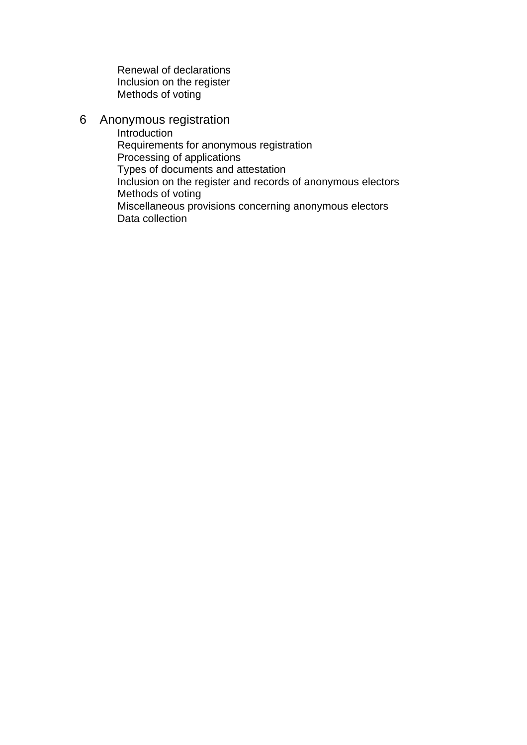Renewal of declarations Inclusion on the register Methods of voting

#### 6 Anonymous registration

 Introduction Requirements for anonymous registration Processing of applications Types of documents and attestation Inclusion on the register and records of anonymous electors Methods of voting Miscellaneous provisions concerning anonymous electors Data collection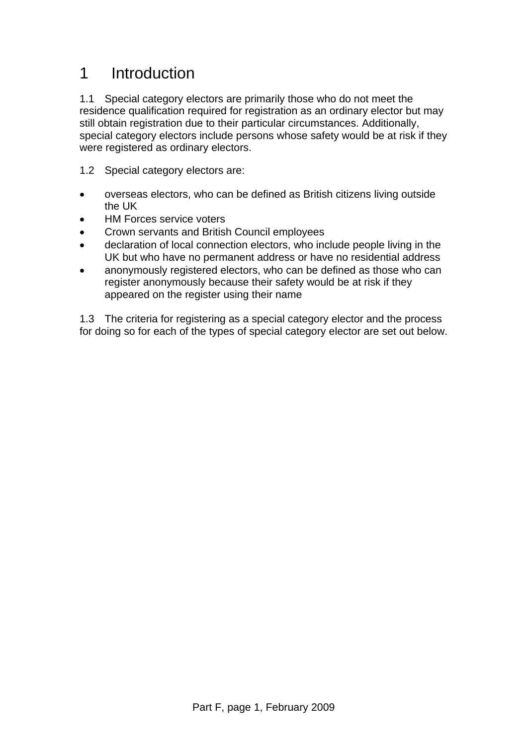## 1 Introduction

1.1 Special category electors are primarily those who do not meet the residence qualification required for registration as an ordinary elector but may still obtain registration due to their particular circumstances. Additionally, special category electors include persons whose safety would be at risk if they were registered as ordinary electors.

- 1.2 Special category electors are:
- overseas electors, who can be defined as British citizens living outside the UK
- **HM Forces service voters**
- Crown servants and British Council employees
- declaration of local connection electors, who include people living in the UK but who have no permanent address or have no residential address
- anonymously registered electors, who can be defined as those who can register anonymously because their safety would be at risk if they appeared on the register using their name

1.3 The criteria for registering as a special category elector and the process for doing so for each of the types of special category elector are set out below.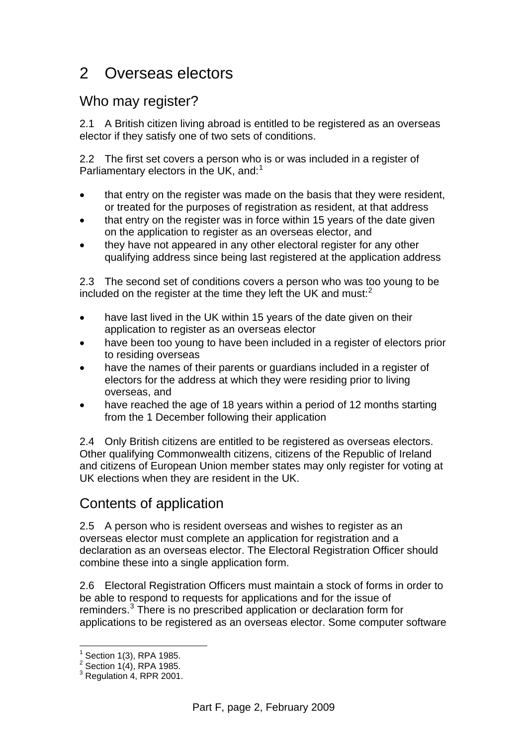## 2 Overseas electors

#### Who may register?

2.1 A British citizen living abroad is entitled to be registered as an overseas elector if they satisfy one of two sets of conditions.

2.2 The first set covers a person who is or was included in a register of Parliamentary electors in the UK, and:<sup>[1](#page-3-0)</sup>

- that entry on the register was made on the basis that they were resident, or treated for the purposes of registration as resident, at that address
- that entry on the register was in force within 15 years of the date given on the application to register as an overseas elector, and
- they have not appeared in any other electoral register for any other qualifying address since being last registered at the application address

2.3 The second set of conditions covers a person who was too young to be included on the register at the time they left the UK and must: $<sup>2</sup>$  $<sup>2</sup>$  $<sup>2</sup>$ </sup>

- have last lived in the UK within 15 years of the date given on their application to register as an overseas elector
- have been too young to have been included in a register of electors prior to residing overseas
- have the names of their parents or guardians included in a register of electors for the address at which they were residing prior to living overseas, and
- have reached the age of 18 years within a period of 12 months starting from the 1 December following their application

2.4 Only British citizens are entitled to be registered as overseas electors. Other qualifying Commonwealth citizens, citizens of the Republic of Ireland and citizens of European Union member states may only register for voting at UK elections when they are resident in the UK.

## Contents of application

2.5 A person who is resident overseas and wishes to register as an overseas elector must complete an application for registration and a declaration as an overseas elector. The Electoral Registration Officer should combine these into a single application form.

2.6 Electoral Registration Officers must maintain a stock of forms in order to be able to respond to requests for applications and for the issue of reminders.<sup>[3](#page-3-2)</sup> There is no prescribed application or declaration form for applications to be registered as an overseas elector. Some computer software

 $\overline{a}$  $<sup>1</sup>$  Section 1(3), RPA 1985.</sup>

<span id="page-3-1"></span><span id="page-3-0"></span><sup>&</sup>lt;sup>2</sup> Section 1(4), RPA 1985.

<span id="page-3-2"></span> $3$  Regulation 4, RPR 2001.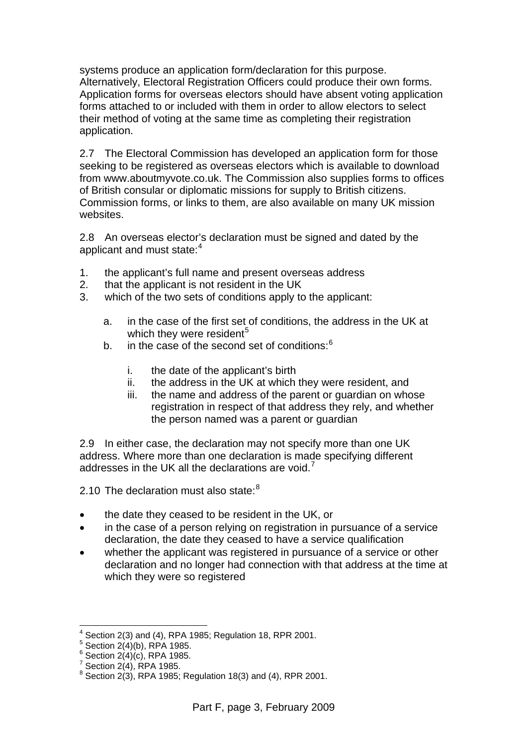systems produce an application form/declaration for this purpose. Alternatively, Electoral Registration Officers could produce their own forms. Application forms for overseas electors should have absent voting application forms attached to or included with them in order to allow electors to select their method of voting at the same time as completing their registration application.

2.7 The Electoral Commission has developed an application form for those seeking to be registered as overseas electors which is available to download from www.aboutmyvote.co.uk. The Commission also supplies forms to offices of British consular or diplomatic missions for supply to British citizens. Commission forms, or links to them, are also available on many UK mission websites.

2.8 An overseas elector's declaration must be signed and dated by the applicant and must state:<sup>[4](#page-4-0)</sup>

- 1. the applicant's full name and present overseas address
- 2. that the applicant is not resident in the UK
- 3. which of the two sets of conditions apply to the applicant:
	- a. in the case of the first set of conditions, the address in the UK at which they were resident<sup>[5](#page-4-1)</sup>
	- b. in the case of the second set of conditions: $6$ 
		- i. the date of the applicant's birth
		- ii. the address in the UK at which they were resident, and
		- iii. the name and address of the parent or guardian on whose registration in respect of that address they rely, and whether the person named was a parent or guardian

2.9 In either case, the declaration may not specify more than one UK address. Where more than one declaration is made specifying different addresses in the UK all the declarations are void. $<sup>7</sup>$  $<sup>7</sup>$  $<sup>7</sup>$ </sup>

2.10 The declaration must also state:  $8<sup>8</sup>$  $8<sup>8</sup>$ 

- the date they ceased to be resident in the UK, or
- in the case of a person relying on registration in pursuance of a service declaration, the date they ceased to have a service qualification
- whether the applicant was registered in pursuance of a service or other declaration and no longer had connection with that address at the time at which they were so registered

 $\overline{a}$ 4 Section 2(3) and (4), RPA 1985; Regulation 18, RPR 2001.

<span id="page-4-2"></span><span id="page-4-1"></span><span id="page-4-0"></span> $5$  Section 2(4)(b), RPA 1985.

 $6$  Section 2(4)(c), RPA 1985.

<span id="page-4-3"></span> $^7$  Section 2(4), RPA 1985.

<span id="page-4-4"></span> $8$  Section 2(3), RPA 1985; Regulation 18(3) and (4), RPR 2001.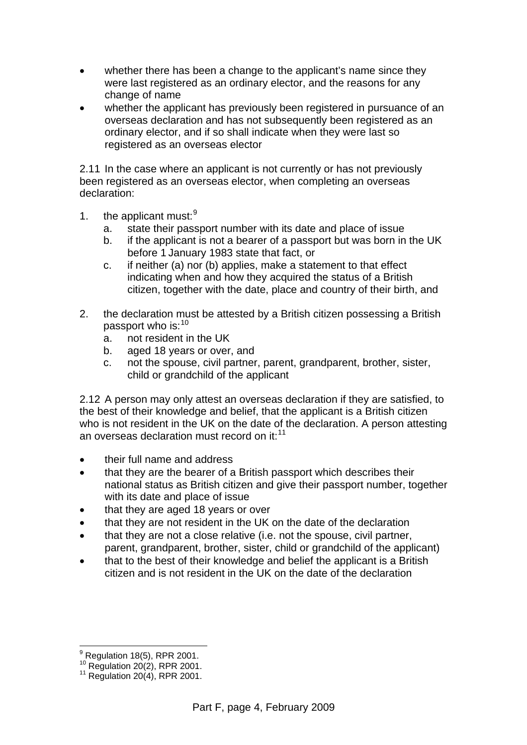- whether there has been a change to the applicant's name since they were last registered as an ordinary elector, and the reasons for any change of name
- whether the applicant has previously been registered in pursuance of an overseas declaration and has not subsequently been registered as an ordinary elector, and if so shall indicate when they were last so registered as an overseas elector

2.11 In the case where an applicant is not currently or has not previously been registered as an overseas elector, when completing an overseas declaration:

- 1. the applicant must: $9$ 
	- a. state their passport number with its date and place of issue
	- b. if the applicant is not a bearer of a passport but was born in the UK before 1 January 1983 state that fact, or
	- c. if neither (a) nor (b) applies, make a statement to that effect indicating when and how they acquired the status of a British citizen, together with the date, place and country of their birth, and
- 2. the declaration must be attested by a British citizen possessing a British passport who is: [10](#page-5-1)
	- a. not resident in the UK
	- b. aged 18 years or over, and
	- c. not the spouse, civil partner, parent, grandparent, brother, sister, child or grandchild of the applicant

2.12 A person may only attest an overseas declaration if they are satisfied, to the best of their knowledge and belief, that the applicant is a British citizen who is not resident in the UK on the date of the declaration. A person attesting an overseas declaration must record on it: $11$ 

- their full name and address
- that they are the bearer of a British passport which describes their national status as British citizen and give their passport number, together with its date and place of issue
- that they are aged 18 years or over
- that they are not resident in the UK on the date of the declaration
- that they are not a close relative (i.e. not the spouse, civil partner, parent, grandparent, brother, sister, child or grandchild of the applicant)
- that to the best of their knowledge and belief the applicant is a British citizen and is not resident in the UK on the date of the declaration

 $\overline{a}$  $^9$  Regulation 18(5), RPR 2001.

<span id="page-5-2"></span><span id="page-5-1"></span><span id="page-5-0"></span><sup>&</sup>lt;sup>10</sup> Regulation 20(2), RPR 2001.<br><sup>11</sup> Regulation 20(4), RPR 2001.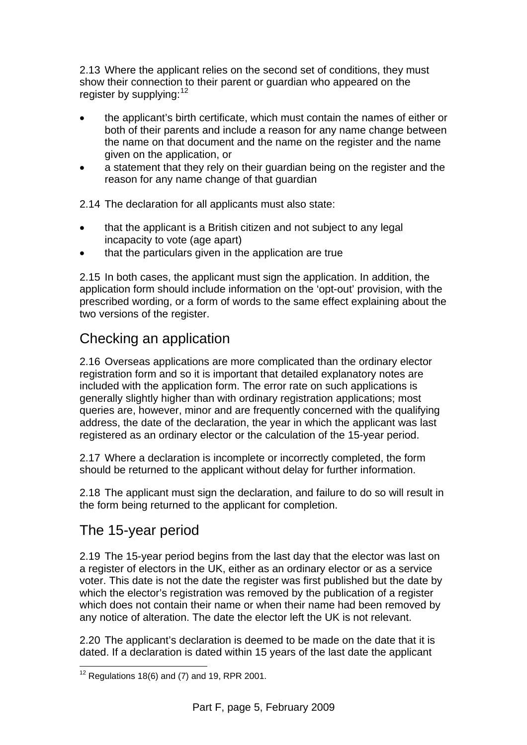2.13 Where the applicant relies on the second set of conditions, they must show their connection to their parent or guardian who appeared on the register by supplying:<sup>[12](#page-6-0)</sup>

- the applicant's birth certificate, which must contain the names of either or both of their parents and include a reason for any name change between the name on that document and the name on the register and the name given on the application, or
- a statement that they rely on their guardian being on the register and the reason for any name change of that guardian

2.14 The declaration for all applicants must also state:

- that the applicant is a British citizen and not subject to any legal incapacity to vote (age apart)
- that the particulars given in the application are true

2.15 In both cases, the applicant must sign the application. In addition, the application form should include information on the 'opt-out' provision, with the prescribed wording, or a form of words to the same effect explaining about the two versions of the register.

## Checking an application

2.16 Overseas applications are more complicated than the ordinary elector registration form and so it is important that detailed explanatory notes are included with the application form. The error rate on such applications is generally slightly higher than with ordinary registration applications; most queries are, however, minor and are frequently concerned with the qualifying address, the date of the declaration, the year in which the applicant was last registered as an ordinary elector or the calculation of the 15-year period.

2.17 Where a declaration is incomplete or incorrectly completed, the form should be returned to the applicant without delay for further information.

2.18 The applicant must sign the declaration, and failure to do so will result in the form being returned to the applicant for completion.

## The 15-year period

2.19 The 15-year period begins from the last day that the elector was last on a register of electors in the UK, either as an ordinary elector or as a service voter. This date is not the date the register was first published but the date by which the elector's registration was removed by the publication of a register which does not contain their name or when their name had been removed by any notice of alteration. The date the elector left the UK is not relevant.

2.20 The applicant's declaration is deemed to be made on the date that it is dated. If a declaration is dated within 15 years of the last date the applicant

<span id="page-6-0"></span> $\overline{a}$  $12$  Regulations 18(6) and (7) and 19, RPR 2001.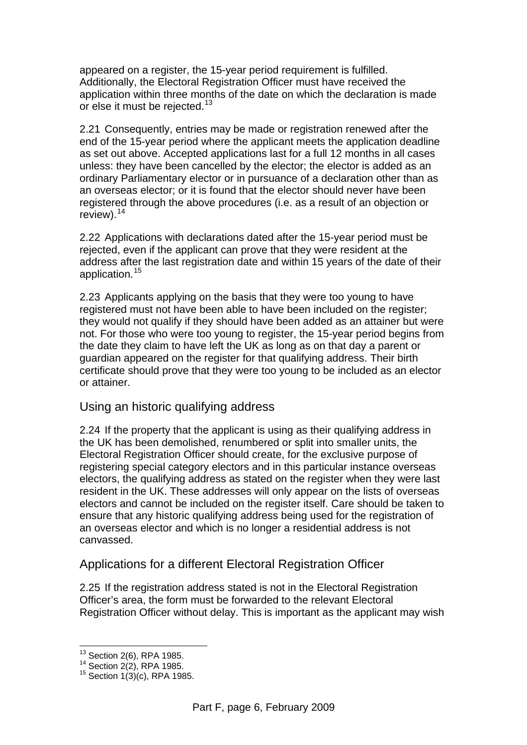appeared on a register, the 15-year period requirement is fulfilled. Additionally, the Electoral Registration Officer must have received the application within three months of the date on which the declaration is made or else it must be rejected.<sup>[13](#page-7-0)</sup>

2.21 Consequently, entries may be made or registration renewed after the end of the 15-year period where the applicant meets the application deadline as set out above. Accepted applications last for a full 12 months in all cases unless: they have been cancelled by the elector; the elector is added as an ordinary Parliamentary elector or in pursuance of a declaration other than as an overseas elector; or it is found that the elector should never have been registered through the above procedures (i.e. as a result of an objection or review). $14$ 

2.22 Applications with declarations dated after the 15-year period must be rejected, even if the applicant can prove that they were resident at the address after the last registration date and within 15 years of the date of their application.<sup>[15](#page-7-2)</sup>

2.23 Applicants applying on the basis that they were too young to have registered must not have been able to have been included on the register; they would not qualify if they should have been added as an attainer but were not. For those who were too young to register, the 15-year period begins from the date they claim to have left the UK as long as on that day a parent or guardian appeared on the register for that qualifying address. Their birth certificate should prove that they were too young to be included as an elector or attainer.

#### Using an historic qualifying address

2.24 If the property that the applicant is using as their qualifying address in the UK has been demolished, renumbered or split into smaller units, the Electoral Registration Officer should create, for the exclusive purpose of registering special category electors and in this particular instance overseas electors, the qualifying address as stated on the register when they were last resident in the UK. These addresses will only appear on the lists of overseas electors and cannot be included on the register itself. Care should be taken to ensure that any historic qualifying address being used for the registration of an overseas elector and which is no longer a residential address is not canvassed.

#### Applications for a different Electoral Registration Officer

2.25 If the registration address stated is not in the Electoral Registration Officer's area, the form must be forwarded to the relevant Electoral Registration Officer without delay. This is important as the applicant may wish

 $\overline{a}$ 

<span id="page-7-2"></span><span id="page-7-1"></span><span id="page-7-0"></span><sup>&</sup>lt;sup>13</sup> Section 2(6), RPA 1985.<br><sup>14</sup> Section 2(2), RPA 1985.<br><sup>15</sup> Section 1(3)(c), RPA 1985.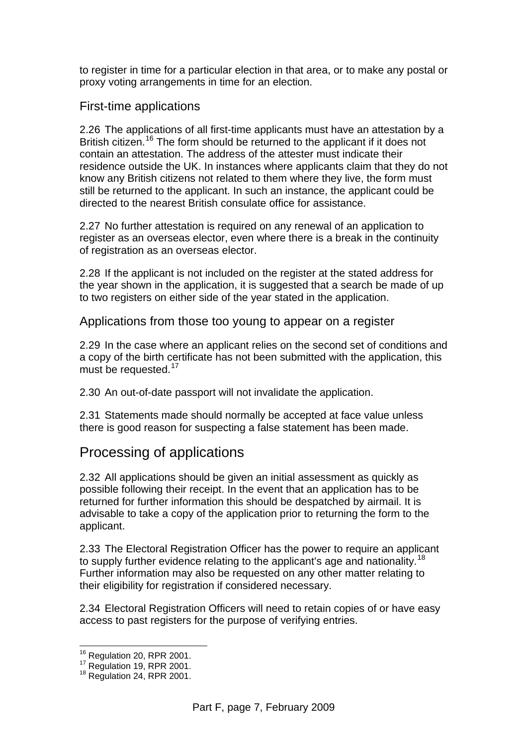to register in time for a particular election in that area, or to make any postal or proxy voting arrangements in time for an election.

#### First-time applications

2.26 The applications of all first-time applicants must have an attestation by a British citizen.<sup>[16](#page-8-0)</sup> The form should be returned to the applicant if it does not contain an attestation. The address of the attester must indicate their residence outside the UK. In instances where applicants claim that they do not know any British citizens not related to them where they live, the form must still be returned to the applicant. In such an instance, the applicant could be directed to the nearest British consulate office for assistance.

2.27 No further attestation is required on any renewal of an application to register as an overseas elector, even where there is a break in the continuity of registration as an overseas elector.

2.28 If the applicant is not included on the register at the stated address for the year shown in the application, it is suggested that a search be made of up to two registers on either side of the year stated in the application.

Applications from those too young to appear on a register

2.29 In the case where an applicant relies on the second set of conditions and a copy of the birth certificate has not been submitted with the application, this must be requested.<sup>[17](#page-8-1)</sup>

2.30 An out-of-date passport will not invalidate the application.

2.31 Statements made should normally be accepted at face value unless there is good reason for suspecting a false statement has been made.

#### Processing of applications

2.32 All applications should be given an initial assessment as quickly as possible following their receipt. In the event that an application has to be returned for further information this should be despatched by airmail. It is advisable to take a copy of the application prior to returning the form to the applicant.

2.33 The Electoral Registration Officer has the power to require an applicant to supply further evidence relating to the applicant's age and nationality.<sup>[18](#page-8-2)</sup> Further information may also be requested on any other matter relating to their eligibility for registration if considered necessary.

2.34 Electoral Registration Officers will need to retain copies of or have easy access to past registers for the purpose of verifying entries.

<sup>&</sup>lt;sup>16</sup> Regulation 20, RPR 2001.

<span id="page-8-2"></span><span id="page-8-1"></span><span id="page-8-0"></span><sup>17</sup> Regulation 19, RPR 2001.<br><sup>18</sup> Regulation 24, RPR 2001.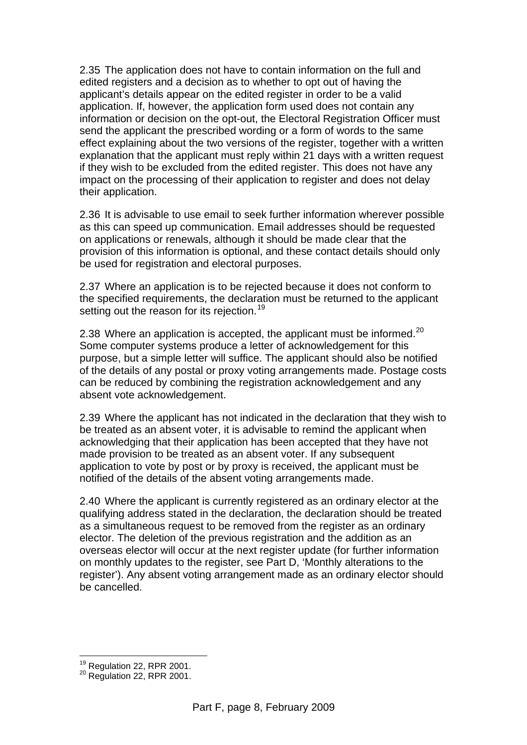2.35 The application does not have to contain information on the full and edited registers and a decision as to whether to opt out of having the applicant's details appear on the edited register in order to be a valid application. If, however, the application form used does not contain any information or decision on the opt-out, the Electoral Registration Officer must send the applicant the prescribed wording or a form of words to the same effect explaining about the two versions of the register, together with a written explanation that the applicant must reply within 21 days with a written request if they wish to be excluded from the edited register. This does not have any impact on the processing of their application to register and does not delay their application.

2.36 It is advisable to use email to seek further information wherever possible as this can speed up communication. Email addresses should be requested on applications or renewals, although it should be made clear that the provision of this information is optional, and these contact details should only be used for registration and electoral purposes.

2.37 Where an application is to be rejected because it does not conform to the specified requirements, the declaration must be returned to the applicant setting out the reason for its rejection.<sup>[19](#page-9-0)</sup>

2.38 Where an application is accepted, the applicant must be informed. $20$ Some computer systems produce a letter of acknowledgement for this purpose, but a simple letter will suffice. The applicant should also be notified of the details of any postal or proxy voting arrangements made. Postage costs can be reduced by combining the registration acknowledgement and any absent vote acknowledgement.

2.39 Where the applicant has not indicated in the declaration that they wish to be treated as an absent voter, it is advisable to remind the applicant when acknowledging that their application has been accepted that they have not made provision to be treated as an absent voter. If any subsequent application to vote by post or by proxy is received, the applicant must be notified of the details of the absent voting arrangements made.

2.40 Where the applicant is currently registered as an ordinary elector at the qualifying address stated in the declaration, the declaration should be treated as a simultaneous request to be removed from the register as an ordinary elector. The deletion of the previous registration and the addition as an overseas elector will occur at the next register update (for further information on monthly updates to the register, see Part D, 'Monthly alterations to the register'). Any absent voting arrangement made as an ordinary elector should be cancelled.

 $\overline{a}$ 

<span id="page-9-1"></span><span id="page-9-0"></span><sup>&</sup>lt;sup>19</sup> Regulation 22, RPR 2001.<br><sup>20</sup> Regulation 22, RPR 2001.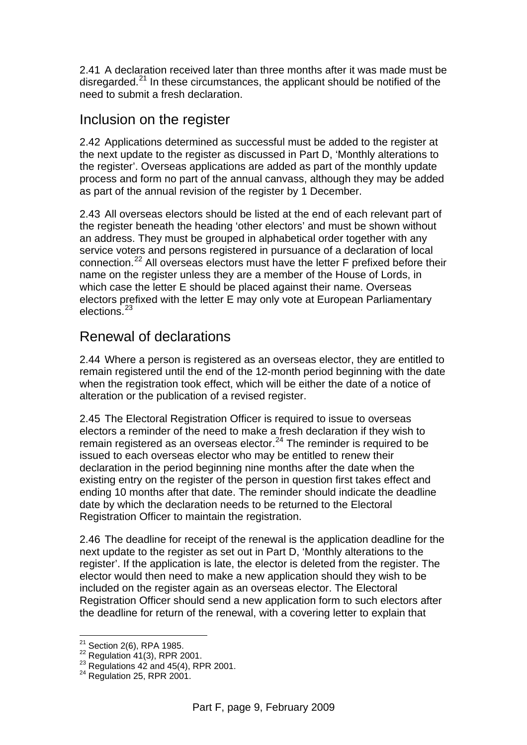2.41 A declaration received later than three months after it was made must be disregarded.<sup>21</sup> In these circumstances, the applicant should be notified of the need to submit a fresh declaration.

#### Inclusion on the register

2.42 Applications determined as successful must be added to the register at the next update to the register as discussed in Part D, 'Monthly alterations to the register'. Overseas applications are added as part of the monthly update process and form no part of the annual canvass, although they may be added as part of the annual revision of the register by 1 December.

2.43 All overseas electors should be listed at the end of each relevant part of the register beneath the heading 'other electors' and must be shown without an address. They must be grouped in alphabetical order together with any service voters and persons registered in pursuance of a declaration of local connection.[22](#page-10-1) All overseas electors must have the letter F prefixed before their name on the register unless they are a member of the House of Lords, in which case the letter E should be placed against their name. Overseas electors prefixed with the letter E may only vote at European Parliamentary elections.[23](#page-10-2)

## Renewal of declarations

2.44 Where a person is registered as an overseas elector, they are entitled to remain registered until the end of the 12-month period beginning with the date when the registration took effect, which will be either the date of a notice of alteration or the publication of a revised register.

2.45 The Electoral Registration Officer is required to issue to overseas electors a reminder of the need to make a fresh declaration if they wish to remain registered as an overseas elector. $24$  The reminder is required to be issued to each overseas elector who may be entitled to renew their declaration in the period beginning nine months after the date when the existing entry on the register of the person in question first takes effect and ending 10 months after that date. The reminder should indicate the deadline date by which the declaration needs to be returned to the Electoral Registration Officer to maintain the registration.

2.46 The deadline for receipt of the renewal is the application deadline for the next update to the register as set out in Part D, 'Monthly alterations to the register'. If the application is late, the elector is deleted from the register. The elector would then need to make a new application should they wish to be included on the register again as an overseas elector. The Electoral Registration Officer should send a new application form to such electors after the deadline for return of the renewal, with a covering letter to explain that

 $21$  Section 2(6), RPA 1985.

<span id="page-10-2"></span><span id="page-10-1"></span><span id="page-10-0"></span><sup>22</sup> Regulation 41(3), RPR 2001.<br>
<sup>23</sup> Regulations 42 and 45(4), RPR 2001.<br>
<sup>24</sup> Regulation 25, RPR 2001.

<span id="page-10-3"></span>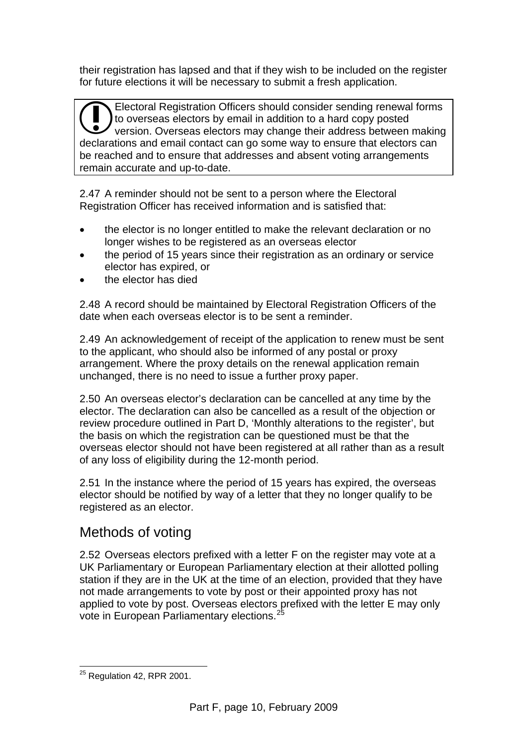their registration has lapsed and that if they wish to be included on the register for future elections it will be necessary to submit a fresh application.

Electoral Registration Officers should consider sending renewal forms to overseas electors by email in addition to a hard copy posted version. Overseas electors may change their address between making Electoral Registration Officers should consider sending renewal forms<br>to overseas electors by email in addition to a hard copy posted<br>declarations and email contact can go some way to ensure that electors can be reached and to ensure that addresses and absent voting arrangements remain accurate and up-to-date.

2.47 A reminder should not be sent to a person where the Electoral Registration Officer has received information and is satisfied that:

- the elector is no longer entitled to make the relevant declaration or no longer wishes to be registered as an overseas elector
- the period of 15 years since their registration as an ordinary or service elector has expired, or
- the elector has died

2.48 A record should be maintained by Electoral Registration Officers of the date when each overseas elector is to be sent a reminder.

2.49 An acknowledgement of receipt of the application to renew must be sent to the applicant, who should also be informed of any postal or proxy arrangement. Where the proxy details on the renewal application remain unchanged, there is no need to issue a further proxy paper.

2.50 An overseas elector's declaration can be cancelled at any time by the elector. The declaration can also be cancelled as a result of the objection or review procedure outlined in Part D, 'Monthly alterations to the register', but the basis on which the registration can be questioned must be that the overseas elector should not have been registered at all rather than as a result of any loss of eligibility during the 12-month period.

2.51 In the instance where the period of 15 years has expired, the overseas elector should be notified by way of a letter that they no longer qualify to be registered as an elector.

## Methods of voting

2.52 Overseas electors prefixed with a letter F on the register may vote at a UK Parliamentary or European Parliamentary election at their allotted polling station if they are in the UK at the time of an election, provided that they have not made arrangements to vote by post or their appointed proxy has not applied to vote by post. Overseas electors prefixed with the letter E may only vote in European Parliamentary elections.<sup>2</sup>

<span id="page-11-0"></span> $\overline{a}$  $^{25}$  Regulation 42, RPR 2001.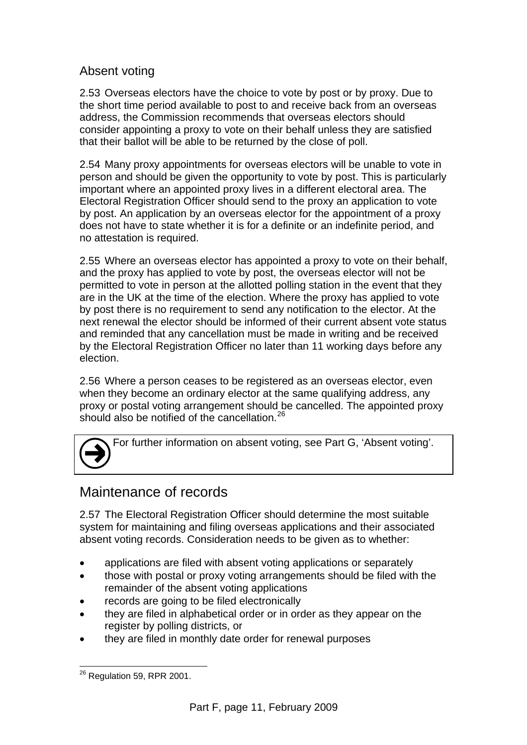#### Absent voting

2.53 Overseas electors have the choice to vote by post or by proxy. Due to the short time period available to post to and receive back from an overseas address, the Commission recommends that overseas electors should consider appointing a proxy to vote on their behalf unless they are satisfied that their ballot will be able to be returned by the close of poll.

2.54 Many proxy appointments for overseas electors will be unable to vote in person and should be given the opportunity to vote by post. This is particularly important where an appointed proxy lives in a different electoral area. The Electoral Registration Officer should send to the proxy an application to vote by post. An application by an overseas elector for the appointment of a proxy does not have to state whether it is for a definite or an indefinite period, and no attestation is required.

2.55 Where an overseas elector has appointed a proxy to vote on their behalf, and the proxy has applied to vote by post, the overseas elector will not be permitted to vote in person at the allotted polling station in the event that they are in the UK at the time of the election. Where the proxy has applied to vote by post there is no requirement to send any notification to the elector. At the next renewal the elector should be informed of their current absent vote status and reminded that any cancellation must be made in writing and be received by the Electoral Registration Officer no later than 11 working days before any election.

2.56 Where a person ceases to be registered as an overseas elector, even when they become an ordinary elector at the same qualifying address, any proxy or postal voting arrangement should be cancelled. The appointed proxy should also be notified of the cancellation [26](#page-12-0)

For further information on absent voting, see Part G, 'Absent voting'.

## Maintenance of records

 $\bigodot$ 

2.57 The Electoral Registration Officer should determine the most suitable system for maintaining and filing overseas applications and their associated absent voting records. Consideration needs to be given as to whether:

- applications are filed with absent voting applications or separately
- those with postal or proxy voting arrangements should be filed with the remainder of the absent voting applications
- records are going to be filed electronically
- they are filed in alphabetical order or in order as they appear on the register by polling districts, or
- they are filed in monthly date order for renewal purposes

<span id="page-12-0"></span> $\overline{a}$  $^{26}$  Regulation 59, RPR 2001.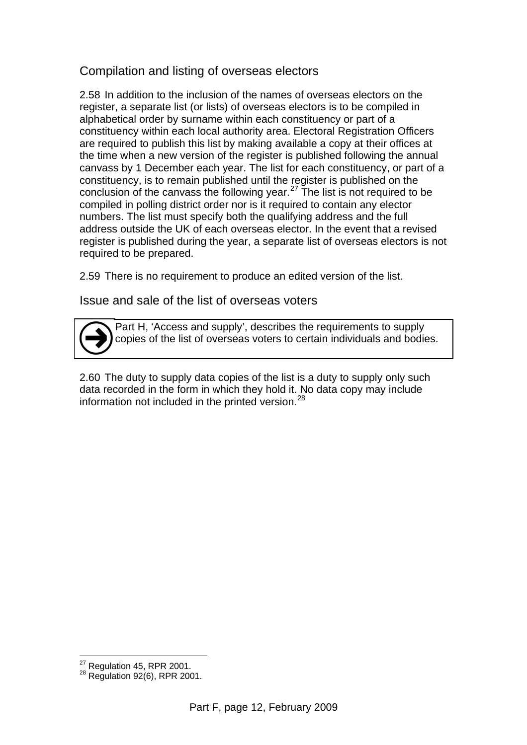#### Compilation and listing of overseas electors

2.58 In addition to the inclusion of the names of overseas electors on the register, a separate list (or lists) of overseas electors is to be compiled in alphabetical order by surname within each constituency or part of a constituency within each local authority area. Electoral Registration Officers are required to publish this list by making available a copy at their offices at the time when a new version of the register is published following the annual canvass by 1 December each year. The list for each constituency, or part of a constituency, is to remain published until the register is published on the conclusion of the canvass the following year.<sup>27</sup> The list is not required to be compiled in polling district order nor is it required to contain any elector numbers. The list must specify both the qualifying address and the full address outside the UK of each overseas elector. In the event that a revised register is published during the year, a separate list of overseas electors is not required to be prepared.

2.59 There is no requirement to produce an edited version of the list.

Issue and sale of the list of overseas voters

Part H, 'Access and supply', describes the requirements to supply copies of the list of overseas voters to certain individuals and bodies.  $\bigodot$ 

2.60 The duty to supply data copies of the list is a duty to supply only such data recorded in the form in which they hold it. No data copy may include information not included in the printed version.<sup>28</sup>

 $\overline{a}$ 

<span id="page-13-1"></span><span id="page-13-0"></span> $^{27}$  Regulation 45, RPR 2001.<br> $^{28}$  Regulation 92(6), RPR 2001.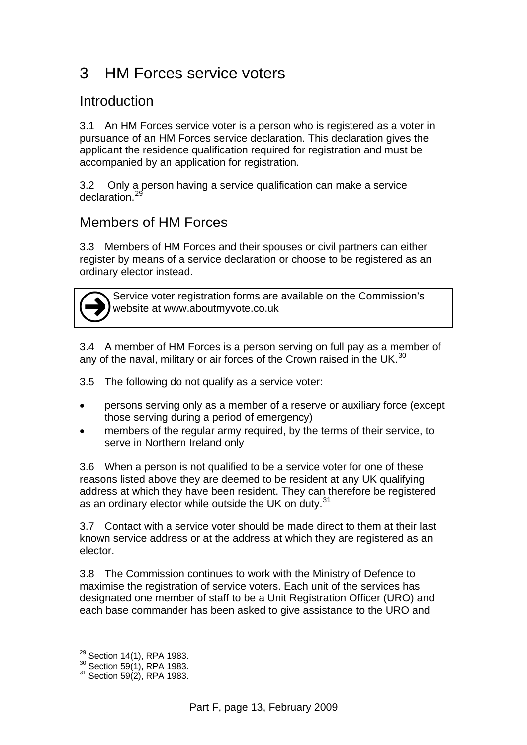## 3 HM Forces service voters

#### Introduction

3.1 An HM Forces service voter is a person who is registered as a voter in pursuance of an HM Forces service declaration. This declaration gives the applicant the residence qualification required for registration and must be accompanied by an application for registration.

3.2 Only a person having a service qualification can make a service declaration.<sup>[29](#page-14-0)</sup>

## Members of HM Forces

3.3 Members of HM Forces and their spouses or civil partners can either register by means of a service declaration or choose to be registered as an ordinary elector instead.



Service voter registration forms are available on the Commission's website at www.aboutmyvote.co.uk

3.4 A member of HM Forces is a person serving on full pay as a member of any of the naval, military or air forces of the Crown raised in the UK. $^{30}$  $^{30}$  $^{30}$ 

3.5 The following do not qualify as a service voter:

- persons serving only as a member of a reserve or auxiliary force (except those serving during a period of emergency)
- members of the regular army required, by the terms of their service, to serve in Northern Ireland only

3.6 When a person is not qualified to be a service voter for one of these reasons listed above they are deemed to be resident at any UK qualifying address at which they have been resident. They can therefore be registered as an ordinary elector while outside the UK on duty.<sup>[31](#page-14-2)</sup>

3.7 Contact with a service voter should be made direct to them at their last known service address or at the address at which they are registered as an elector.

3.8 The Commission continues to work with the Ministry of Defence to maximise the registration of service voters. Each unit of the services has designated one member of staff to be a Unit Registration Officer (URO) and each base commander has been asked to give assistance to the URO and

 $\overline{a}$ 

<span id="page-14-2"></span><span id="page-14-1"></span><span id="page-14-0"></span><sup>&</sup>lt;sup>29</sup> Section 14(1), RPA 1983.<br><sup>30</sup> Section 59(1), RPA 1983.<br><sup>31</sup> Section 59(2), RPA 1983.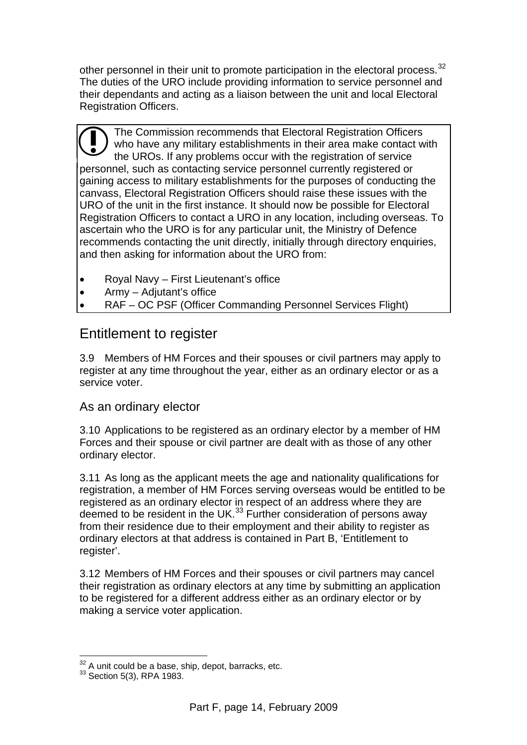other personnel in their unit to promote participation in the electoral process.<sup>[32](#page-15-0)</sup> The duties of the URO include providing information to service personnel and their dependants and acting as a liaison between the unit and local Electoral Registration Officers.

The Commission recommends that Electoral Registration Officers who have any military establishments in their area make contact with the UROs. If any problems occur with the registration of service personnel, such as contacting service personnel currently registered or gaining access to military establishments for the purposes of conducting the canvass, Electoral Registration Officers should raise these issues with the URO of the unit in the first instance. It should now be possible for Electoral Registration Officers to contact a URO in any location, including overseas. To ascertain who the URO is for any particular unit, the Ministry of Defence recommends contacting the unit directly, initially through directory enquiries, and then asking for information about the URO from: <sup>s</sup>

- Royal Navy First Lieutenant's office
- Army Adjutant's office
- RAF OC PSF (Officer Commanding Personnel Services Flight)

#### Entitlement to register

3.9 Members of HM Forces and their spouses or civil partners may apply to register at any time throughout the year, either as an ordinary elector or as a service voter.

#### As an ordinary elector

3.10 Applications to be registered as an ordinary elector by a member of HM Forces and their spouse or civil partner are dealt with as those of any other ordinary elector.

3.11 As long as the applicant meets the age and nationality qualifications for registration, a member of HM Forces serving overseas would be entitled to be registered as an ordinary elector in respect of an address where they are deemed to be resident in the UK.<sup>33</sup> Further consideration of persons away from their residence due to their employment and their ability to register as ordinary electors at that address is contained in Part B, 'Entitlement to register'.

3.12 Members of HM Forces and their spouses or civil partners may cancel their registration as ordinary electors at any time by submitting an application to be registered for a different address either as an ordinary elector or by making a service voter application.

 $\overline{a}$ 

<span id="page-15-0"></span> $32$  A unit could be a base, ship, depot, barracks, etc.<br> $33$  Section 5(3), RPA 1983.

<span id="page-15-1"></span>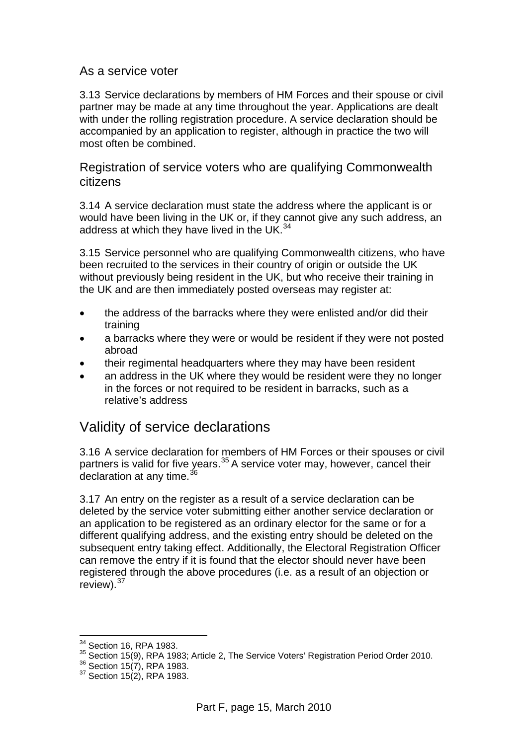#### As a service voter

3.13 Service declarations by members of HM Forces and their spouse or civil partner may be made at any time throughout the year. Applications are dealt with under the rolling registration procedure. A service declaration should be accompanied by an application to register, although in practice the two will most often be combined.

Registration of service voters who are qualifying Commonwealth citizens

3.14 A service declaration must state the address where the applicant is or would have been living in the UK or, if they cannot give any such address, an address at which they have lived in the UK. $34$ 

3.15 Service personnel who are qualifying Commonwealth citizens, who have been recruited to the services in their country of origin or outside the UK without previously being resident in the UK, but who receive their training in the UK and are then immediately posted overseas may register at:

- the address of the barracks where they were enlisted and/or did their training
- a barracks where they were or would be resident if they were not posted abroad
- their regimental headquarters where they may have been resident
- an address in the UK where they would be resident were they no longer in the forces or not required to be resident in barracks, such as a relative's address

#### Validity of service declarations

3.16 A service declaration for members of HM Forces or their spouses or civil partners is valid for five years.<sup>35</sup> A service voter may, however, cancel their declaration at any time.<sup>[36](#page-16-2)</sup>

3.17 An entry on the register as a result of a service declaration can be deleted by the service voter submitting either another service declaration or an application to be registered as an ordinary elector for the same or for a different qualifying address, and the existing entry should be deleted on the subsequent entry taking effect. Additionally, the Electoral Registration Officer can remove the entry if it is found that the elector should never have been registered through the above procedures (i.e. as a result of an objection or review).<sup>[37](#page-16-3)</sup>

 $\overline{a}$ 

<sup>&</sup>lt;sup>34</sup> Section 16, RPA 1983.

<span id="page-16-2"></span><span id="page-16-1"></span><span id="page-16-0"></span><sup>35</sup> Section 15(9), RPA 1983; Article 2, The Service Voters' Registration Period Order 2010.<br> $36$  Section 15(7), RPA 1983.<br> $37$  Section 15(2), RPA 1983.

<span id="page-16-3"></span>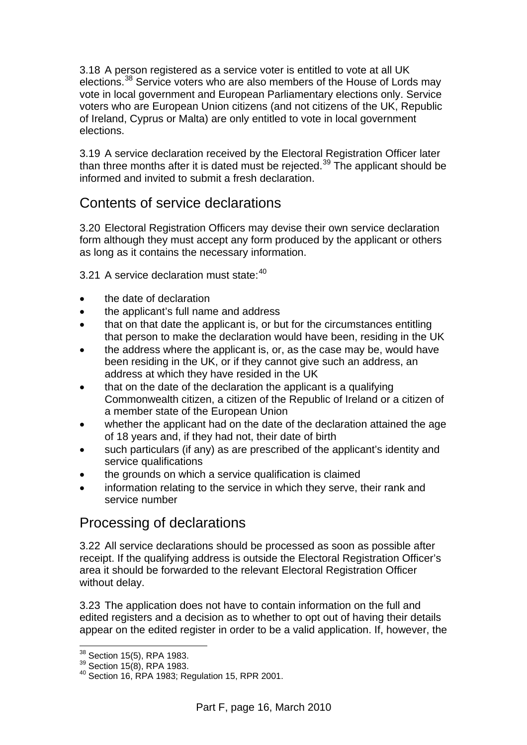3.18 A person registered as a service voter is entitled to vote at all UK elections.<sup>38</sup> Service voters who are also members of the House of Lords may vote in local government and European Parliamentary elections only. Service voters who are European Union citizens (and not citizens of the UK, Republic of Ireland, Cyprus or Malta) are only entitled to vote in local government elections.

3.19 A service declaration received by the Electoral Registration Officer later than three months after it is dated must be rejected.<sup>[39](#page-17-1)</sup> The applicant should be informed and invited to submit a fresh declaration.

#### Contents of service declarations

3.20 Electoral Registration Officers may devise their own service declaration form although they must accept any form produced by the applicant or others as long as it contains the necessary information.

3.21 A service declaration must state: [40](#page-17-2)

- the date of declaration
- the applicant's full name and address
- that on that date the applicant is, or but for the circumstances entitling that person to make the declaration would have been, residing in the UK
- the address where the applicant is, or, as the case may be, would have been residing in the UK, or if they cannot give such an address, an address at which they have resided in the UK
- that on the date of the declaration the applicant is a qualifying Commonwealth citizen, a citizen of the Republic of Ireland or a citizen of a member state of the European Union
- whether the applicant had on the date of the declaration attained the age of 18 years and, if they had not, their date of birth
- such particulars (if any) as are prescribed of the applicant's identity and service qualifications
- the grounds on which a service qualification is claimed
- information relating to the service in which they serve, their rank and service number

## Processing of declarations

3.22 All service declarations should be processed as soon as possible after receipt. If the qualifying address is outside the Electoral Registration Officer's area it should be forwarded to the relevant Electoral Registration Officer without delay.

3.23 The application does not have to contain information on the full and edited registers and a decision as to whether to opt out of having their details appear on the edited register in order to be a valid application. If, however, the

 $\overline{a}$ 

<span id="page-17-2"></span><span id="page-17-1"></span><span id="page-17-0"></span> $38 \text{ Section } 15(5)$ , RPA 1983.<br> $39 \text{ Section } 15(8)$ , RPA 1983.<br> $40 \text{ Section } 16$ , RPA 1983; Regulation 15, RPR 2001.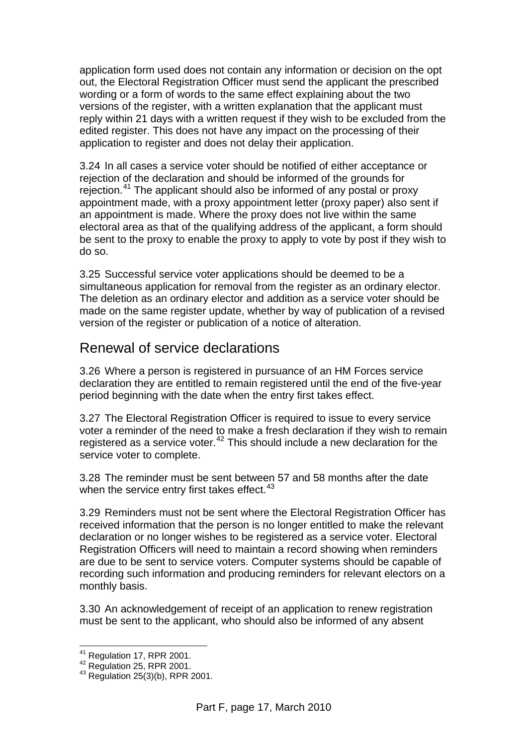application form used does not contain any information or decision on the opt out, the Electoral Registration Officer must send the applicant the prescribed wording or a form of words to the same effect explaining about the two versions of the register, with a written explanation that the applicant must reply within 21 days with a written request if they wish to be excluded from the edited register. This does not have any impact on the processing of their application to register and does not delay their application.

3.24 In all cases a service voter should be notified of either acceptance or rejection of the declaration and should be informed of the grounds for rejection.[41](#page-18-0) The applicant should also be informed of any postal or proxy appointment made, with a proxy appointment letter (proxy paper) also sent if an appointment is made. Where the proxy does not live within the same electoral area as that of the qualifying address of the applicant, a form should be sent to the proxy to enable the proxy to apply to vote by post if they wish to do so.

3.25 Successful service voter applications should be deemed to be a simultaneous application for removal from the register as an ordinary elector. The deletion as an ordinary elector and addition as a service voter should be made on the same register update, whether by way of publication of a revised version of the register or publication of a notice of alteration.

#### Renewal of service declarations

3.26 Where a person is registered in pursuance of an HM Forces service declaration they are entitled to remain registered until the end of the five-year period beginning with the date when the entry first takes effect.

3.27 The Electoral Registration Officer is required to issue to every service voter a reminder of the need to make a fresh declaration if they wish to remain registered as a service voter. $42$  This should include a new declaration for the service voter to complete.

3.28 The reminder must be sent between 57 and 58 months after the date when the service entry first takes effect. $43$ 

3.29 Reminders must not be sent where the Electoral Registration Officer has received information that the person is no longer entitled to make the relevant declaration or no longer wishes to be registered as a service voter. Electoral Registration Officers will need to maintain a record showing when reminders are due to be sent to service voters. Computer systems should be capable of recording such information and producing reminders for relevant electors on a monthly basis.

3.30 An acknowledgement of receipt of an application to renew registration must be sent to the applicant, who should also be informed of any absent

<sup>&</sup>lt;sup>41</sup> Regulation 17, RPR 2001.

<span id="page-18-2"></span><span id="page-18-1"></span><span id="page-18-0"></span><sup>42</sup> Regulation 25, RPR 2001.<br>
43 Regulation 25(3)(b), RPR 2001.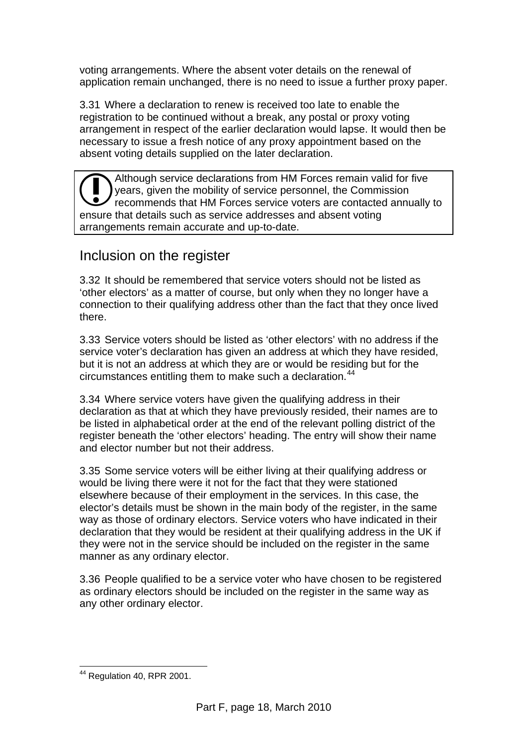voting arrangements. Where the absent voter details on the renewal of application remain unchanged, there is no need to issue a further proxy paper.

3.31 Where a declaration to renew is received too late to enable the registration to be continued without a break, any postal or proxy voting arrangement in respect of the earlier declaration would lapse. It would then be necessary to issue a fresh notice of any proxy appointment based on the absent voting details supplied on the later declaration.

Although service declarations from HM Forces remain valid for five years, given the mobility of service personnel, the Commission recommends that HM Forces service voters are contacted annually to Although service declarations from HM Forces remain vall<br>
recommends that HM Forces service voters are contacted<br>
ensure that details such as service addresses and absent voting arrangements remain accurate and up-to-date.

#### Inclusion on the register

3.32 It should be remembered that service voters should not be listed as 'other electors' as a matter of course, but only when they no longer have a connection to their qualifying address other than the fact that they once lived there.

3.33 Service voters should be listed as 'other electors' with no address if the service voter's declaration has given an address at which they have resided, but it is not an address at which they are or would be residing but for the circumstances entitling them to make such a declaration.<sup>[44](#page-19-0)</sup>

3.34 Where service voters have given the qualifying address in their declaration as that at which they have previously resided, their names are to be listed in alphabetical order at the end of the relevant polling district of the register beneath the 'other electors' heading. The entry will show their name and elector number but not their address.

3.35 Some service voters will be either living at their qualifying address or would be living there were it not for the fact that they were stationed elsewhere because of their employment in the services. In this case, the elector's details must be shown in the main body of the register, in the same way as those of ordinary electors. Service voters who have indicated in their declaration that they would be resident at their qualifying address in the UK if they were not in the service should be included on the register in the same manner as any ordinary elector.

3.36 People qualified to be a service voter who have chosen to be registered as ordinary electors should be included on the register in the same way as any other ordinary elector.

<span id="page-19-0"></span> $\overline{a}$ <sup>44</sup> Regulation 40, RPR 2001.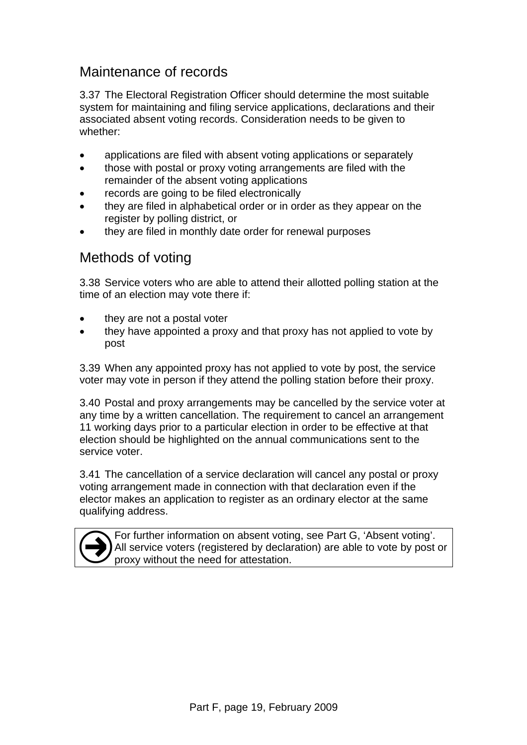## Maintenance of records

3.37 The Electoral Registration Officer should determine the most suitable system for maintaining and filing service applications, declarations and their associated absent voting records. Consideration needs to be given to whether:

- applications are filed with absent voting applications or separately
- those with postal or proxy voting arrangements are filed with the remainder of the absent voting applications
- records are going to be filed electronically
- they are filed in alphabetical order or in order as they appear on the register by polling district, or
- they are filed in monthly date order for renewal purposes

#### Methods of voting

3.38 Service voters who are able to attend their allotted polling station at the time of an election may vote there if:

- they are not a postal voter
- they have appointed a proxy and that proxy has not applied to vote by post

3.39 When any appointed proxy has not applied to vote by post, the service voter may vote in person if they attend the polling station before their proxy.

3.40 Postal and proxy arrangements may be cancelled by the service voter at any time by a written cancellation. The requirement to cancel an arrangement 11 working days prior to a particular election in order to be effective at that election should be highlighted on the annual communications sent to the service voter.

3.41 The cancellation of a service declaration will cancel any postal or proxy voting arrangement made in connection with that declaration even if the elector makes an application to register as an ordinary elector at the same qualifying address.



For further information on absent voting, see Part G, 'Absent voting'.<br>All service voters (registered by declaration) are able to vote by post or<br>proxy without the need for attestation.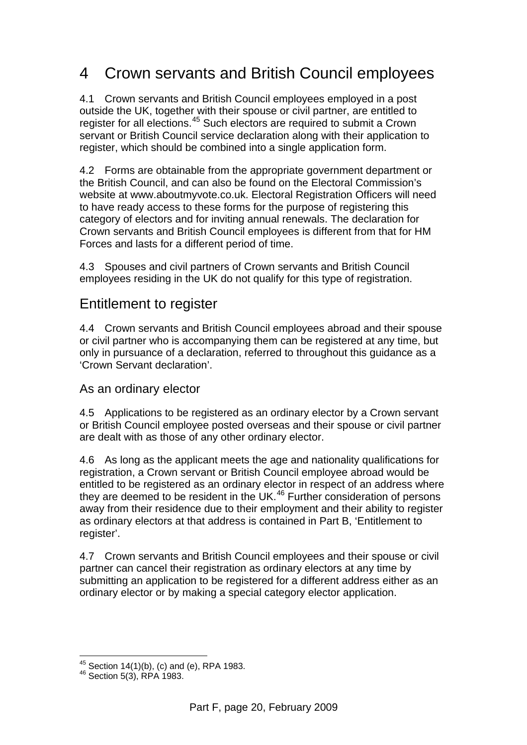## 4 Crown servants and British Council employees

4.1 Crown servants and British Council employees employed in a post outside the UK, together with their spouse or civil partner, are entitled to register for all elections.<sup>45</sup> Such electors are required to submit a Crown servant or British Council service declaration along with their application to register, which should be combined into a single application form.

4.2 Forms are obtainable from the appropriate government department or the British Council, and can also be found on the Electoral Commission's website at www.aboutmyvote.co.uk. Electoral Registration Officers will need to have ready access to these forms for the purpose of registering this category of electors and for inviting annual renewals. The declaration for Crown servants and British Council employees is different from that for HM Forces and lasts for a different period of time.

4.3 Spouses and civil partners of Crown servants and British Council employees residing in the UK do not qualify for this type of registration.

#### Entitlement to register

4.4 Crown servants and British Council employees abroad and their spouse or civil partner who is accompanying them can be registered at any time, but only in pursuance of a declaration, referred to throughout this guidance as a 'Crown Servant declaration'.

As an ordinary elector

4.5 Applications to be registered as an ordinary elector by a Crown servant or British Council employee posted overseas and their spouse or civil partner are dealt with as those of any other ordinary elector.

4.6 As long as the applicant meets the age and nationality qualifications for registration, a Crown servant or British Council employee abroad would be entitled to be registered as an ordinary elector in respect of an address where they are deemed to be resident in the UK.<sup>[46](#page-21-1)</sup> Further consideration of persons away from their residence due to their employment and their ability to register as ordinary electors at that address is contained in Part B, 'Entitlement to register'.

4.7 Crown servants and British Council employees and their spouse or civil partner can cancel their registration as ordinary electors at any time by submitting an application to be registered for a different address either as an ordinary elector or by making a special category elector application.

 $\overline{a}$ 

<span id="page-21-0"></span><sup>&</sup>lt;sup>45</sup> Section 14(1)(b), (c) and (e), RPA 1983.<br><sup>46</sup> Section 5(3), RPA 1983.

<span id="page-21-1"></span>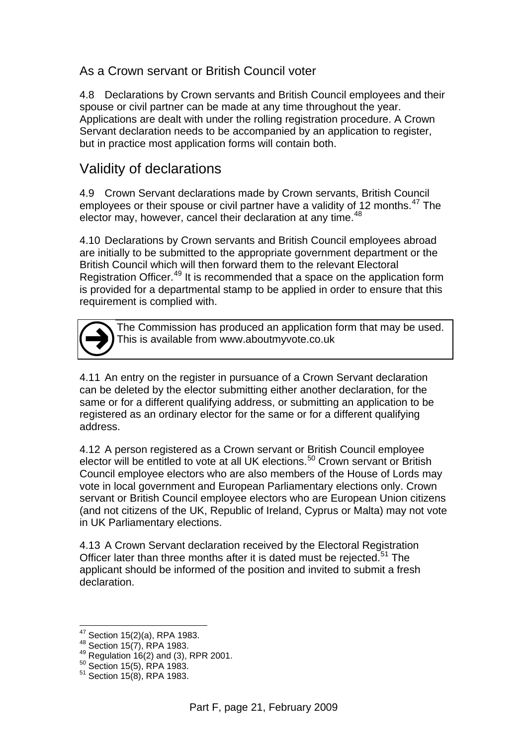#### As a Crown servant or British Council voter

4.8 Declarations by Crown servants and British Council employees and their spouse or civil partner can be made at any time throughout the year. Applications are dealt with under the rolling registration procedure. A Crown Servant declaration needs to be accompanied by an application to register, but in practice most application forms will contain both.

#### Validity of declarations

4.9 Crown Servant declarations made by Crown servants, British Council employees or their spouse or civil partner have a validity of 12 months. $47$  The elector may, however, cancel their declaration at any time.<sup>[48](#page-22-1)</sup>

4.10 Declarations by Crown servants and British Council employees abroad are initially to be submitted to the appropriate government department or the British Council which will then forward them to the relevant Electoral Registration Officer.<sup>[49](#page-22-2)</sup> It is recommended that a space on the application form is provided for a departmental stamp to be applied in order to ensure that this requirement is complied with.

The Commission has produced an application form that may be used. This is available from www.aboutmyvote.co.uk  $\bigodot$ 

4.11 An entry on the register in pursuance of a Crown Servant declaration can be deleted by the elector submitting either another declaration, for the same or for a different qualifying address, or submitting an application to be registered as an ordinary elector for the same or for a different qualifying address.

4.12 A person registered as a Crown servant or British Council employee elector will be entitled to vote at all UK elections.<sup>[50](#page-22-3)</sup> Crown servant or British Council employee electors who are also members of the House of Lords may vote in local government and European Parliamentary elections only. Crown servant or British Council employee electors who are European Union citizens (and not citizens of the UK, Republic of Ireland, Cyprus or Malta) may not vote in UK Parliamentary elections.

4.13 A Crown Servant declaration received by the Electoral Registration Officer later than three months after it is dated must be rejected.<sup>51</sup> The applicant should be informed of the position and invited to submit a fresh declaration.

<sup>&</sup>lt;sup>47</sup> Section 15(2)(a), RPA 1983.

<span id="page-22-2"></span><span id="page-22-1"></span><span id="page-22-0"></span><sup>48</sup> Section 15(2)(a), NY 11 15521<br>
49 Section 15(7), RPA 1983.<br>
50 Section 15(5), RPA 1983.<br>
51 Section 15(8), RPA 1983.

<span id="page-22-4"></span><span id="page-22-3"></span>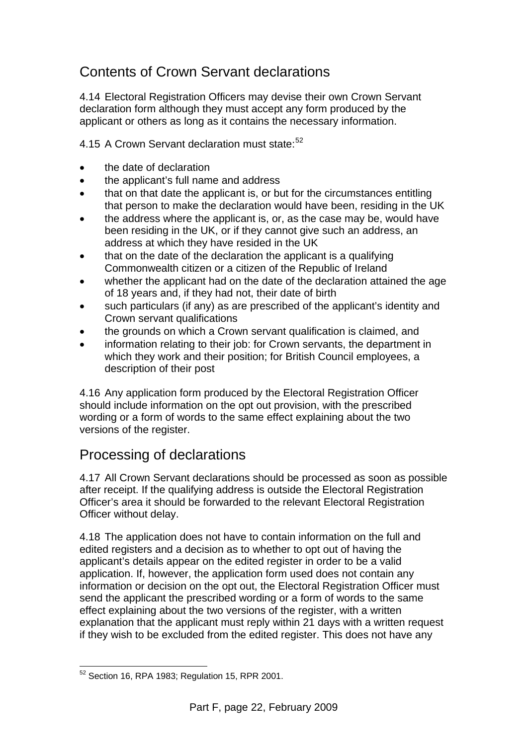## Contents of Crown Servant declarations

4.14 Electoral Registration Officers may devise their own Crown Servant declaration form although they must accept any form produced by the applicant or others as long as it contains the necessary information.

4.15 A Crown Servant declaration must state:<sup>[52](#page-23-0)</sup>

- the date of declaration
- the applicant's full name and address
- that on that date the applicant is, or but for the circumstances entitling that person to make the declaration would have been, residing in the UK
- the address where the applicant is, or, as the case may be, would have been residing in the UK, or if they cannot give such an address, an address at which they have resided in the UK
- that on the date of the declaration the applicant is a qualifying Commonwealth citizen or a citizen of the Republic of Ireland
- whether the applicant had on the date of the declaration attained the age of 18 years and, if they had not, their date of birth
- such particulars (if any) as are prescribed of the applicant's identity and Crown servant qualifications
- the grounds on which a Crown servant qualification is claimed, and
- information relating to their job: for Crown servants, the department in which they work and their position; for British Council employees, a description of their post

4.16 Any application form produced by the Electoral Registration Officer should include information on the opt out provision, with the prescribed wording or a form of words to the same effect explaining about the two versions of the register.

## Processing of declarations

4.17 All Crown Servant declarations should be processed as soon as possible after receipt. If the qualifying address is outside the Electoral Registration Officer's area it should be forwarded to the relevant Electoral Registration Officer without delay.

4.18 The application does not have to contain information on the full and edited registers and a decision as to whether to opt out of having the applicant's details appear on the edited register in order to be a valid application. If, however, the application form used does not contain any information or decision on the opt out, the Electoral Registration Officer must send the applicant the prescribed wording or a form of words to the same effect explaining about the two versions of the register, with a written explanation that the applicant must reply within 21 days with a written request if they wish to be excluded from the edited register. This does not have any

<span id="page-23-0"></span> $\overline{a}$  $52$  Section 16, RPA 1983; Regulation 15, RPR 2001.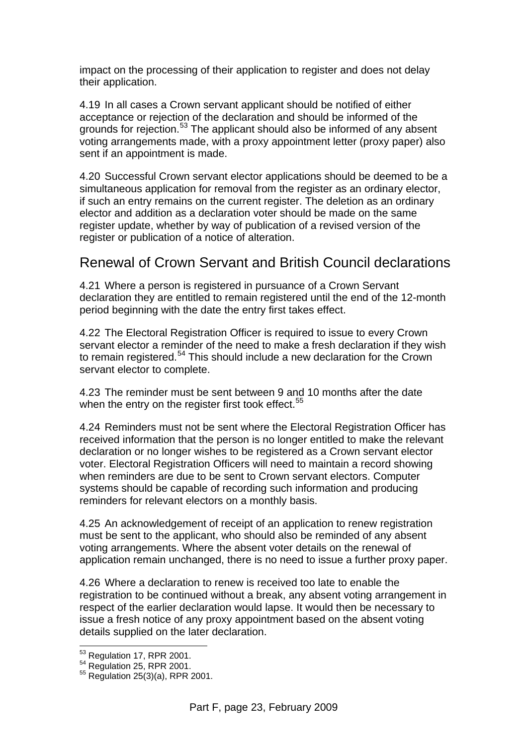impact on the processing of their application to register and does not delay their application.

4.19 In all cases a Crown servant applicant should be notified of either acceptance or rejection of the declaration and should be informed of the grounds for rejection.<sup>[53](#page-24-0)</sup> The applicant should also be informed of any absent voting arrangements made, with a proxy appointment letter (proxy paper) also sent if an appointment is made.

4.20 Successful Crown servant elector applications should be deemed to be a simultaneous application for removal from the register as an ordinary elector, if such an entry remains on the current register. The deletion as an ordinary elector and addition as a declaration voter should be made on the same register update, whether by way of publication of a revised version of the register or publication of a notice of alteration.

#### Renewal of Crown Servant and British Council declarations

4.21 Where a person is registered in pursuance of a Crown Servant declaration they are entitled to remain registered until the end of the 12-month period beginning with the date the entry first takes effect.

4.22 The Electoral Registration Officer is required to issue to every Crown servant elector a reminder of the need to make a fresh declaration if they wish to remain registered.<sup>[54](#page-24-1)</sup> This should include a new declaration for the Crown servant elector to complete.

4.23 The reminder must be sent between 9 and 10 months after the date when the entry on the register first took effect.<sup>[55](#page-24-2)</sup>

4.24 Reminders must not be sent where the Electoral Registration Officer has received information that the person is no longer entitled to make the relevant declaration or no longer wishes to be registered as a Crown servant elector voter. Electoral Registration Officers will need to maintain a record showing when reminders are due to be sent to Crown servant electors. Computer systems should be capable of recording such information and producing reminders for relevant electors on a monthly basis.

4.25 An acknowledgement of receipt of an application to renew registration must be sent to the applicant, who should also be reminded of any absent voting arrangements. Where the absent voter details on the renewal of application remain unchanged, there is no need to issue a further proxy paper.

4.26 Where a declaration to renew is received too late to enable the registration to be continued without a break, any absent voting arrangement in respect of the earlier declaration would lapse. It would then be necessary to issue a fresh notice of any proxy appointment based on the absent voting details supplied on the later declaration.

<sup>53</sup> Regulation 17, RPR 2001.

<span id="page-24-2"></span><span id="page-24-1"></span><span id="page-24-0"></span> $^{54}$  Regulation 25, RPR 2001.<br> $^{55}$  Regulation 25(3)(a), RPR 2001.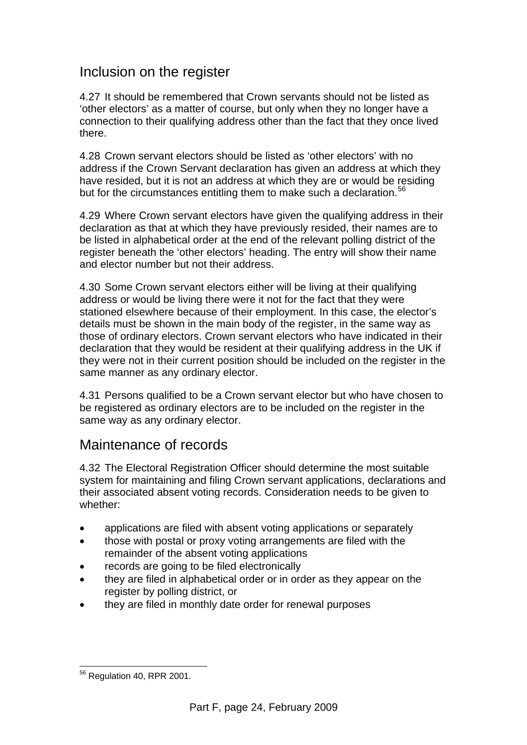#### Inclusion on the register

4.27 It should be remembered that Crown servants should not be listed as 'other electors' as a matter of course, but only when they no longer have a connection to their qualifying address other than the fact that they once lived there.

4.28 Crown servant electors should be listed as 'other electors' with no address if the Crown Servant declaration has given an address at which they have resided, but it is not an address at which they are or would be residing but for the circumstances entitling them to make such a declaration.<sup>[56](#page-25-0)</sup>

4.29 Where Crown servant electors have given the qualifying address in their declaration as that at which they have previously resided, their names are to be listed in alphabetical order at the end of the relevant polling district of the register beneath the 'other electors' heading. The entry will show their name and elector number but not their address.

4.30 Some Crown servant electors either will be living at their qualifying address or would be living there were it not for the fact that they were stationed elsewhere because of their employment. In this case, the elector's details must be shown in the main body of the register, in the same way as those of ordinary electors. Crown servant electors who have indicated in their declaration that they would be resident at their qualifying address in the UK if they were not in their current position should be included on the register in the same manner as any ordinary elector.

4.31 Persons qualified to be a Crown servant elector but who have chosen to be registered as ordinary electors are to be included on the register in the same way as any ordinary elector.

## Maintenance of records

4.32 The Electoral Registration Officer should determine the most suitable system for maintaining and filing Crown servant applications, declarations and their associated absent voting records. Consideration needs to be given to whether:

- applications are filed with absent voting applications or separately
- those with postal or proxy voting arrangements are filed with the remainder of the absent voting applications
- records are going to be filed electronically
- they are filed in alphabetical order or in order as they appear on the register by polling district, or
- they are filed in monthly date order for renewal purposes

<span id="page-25-0"></span> $\overline{a}$ <sup>56</sup> Regulation 40, RPR 2001.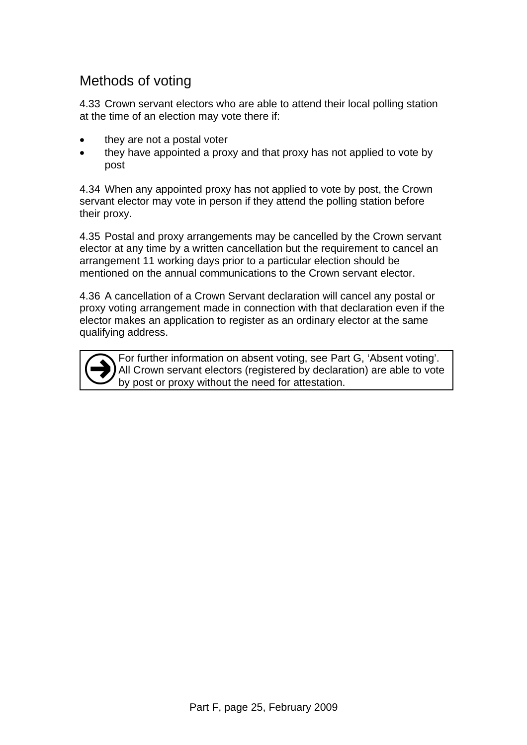## Methods of voting

4.33 Crown servant electors who are able to attend their local polling station at the time of an election may vote there if:

- they are not a postal voter
- they have appointed a proxy and that proxy has not applied to vote by post

4.34 When any appointed proxy has not applied to vote by post, the Crown servant elector may vote in person if they attend the polling station before their proxy.

4.35 Postal and proxy arrangements may be cancelled by the Crown servant elector at any time by a written cancellation but the requirement to cancel an arrangement 11 working days prior to a particular election should be mentioned on the annual communications to the Crown servant elector.

4.36 A cancellation of a Crown Servant declaration will cancel any postal or proxy voting arrangement made in connection with that declaration even if the elector makes an application to register as an ordinary elector at the same qualifying address.

For further information on absent voting, see Part G, 'Absent voting'. All Crown servant electors (registered by declaration) are able to vote by post or proxy without the need for attestation.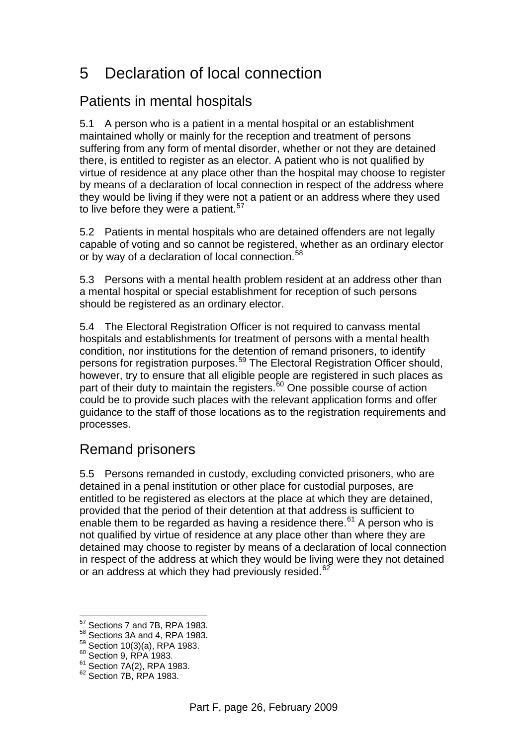## 5 Declaration of local connection

## Patients in mental hospitals

5.1 A person who is a patient in a mental hospital or an establishment maintained wholly or mainly for the reception and treatment of persons suffering from any form of mental disorder, whether or not they are detained there, is entitled to register as an elector. A patient who is not qualified by virtue of residence at any place other than the hospital may choose to register by means of a declaration of local connection in respect of the address where they would be living if they were not a patient or an address where they used to live before they were a patient.<sup>[57](#page-27-0)</sup>

5.2 Patients in mental hospitals who are detained offenders are not legally capable of voting and so cannot be registered, whether as an ordinary elector or by way of a declaration of local connection.<sup>[58](#page-27-1)</sup>

5.3 Persons with a mental health problem resident at an address other than a mental hospital or special establishment for reception of such persons should be registered as an ordinary elector.

5.4 The Electoral Registration Officer is not required to canvass mental hospitals and establishments for treatment of persons with a mental health condition, nor institutions for the detention of remand prisoners, to identify persons for registration purposes.[59](#page-27-2) The Electoral Registration Officer should, however, try to ensure that all eligible people are registered in such places as part of their duty to maintain the registers.<sup>60</sup> One possible course of action could be to provide such places with the relevant application forms and offer guidance to the staff of those locations as to the registration requirements and processes.

## Remand prisoners

5.5 Persons remanded in custody, excluding convicted prisoners, who are detained in a penal institution or other place for custodial purposes, are entitled to be registered as electors at the place at which they are detained, provided that the period of their detention at that address is sufficient to enable them to be regarded as having a residence there.<sup>61</sup> A person who is not qualified by virtue of residence at any place other than where they are detained may choose to register by means of a declaration of local connection in respect of the address at which they would be living were they not detained or an address at which they had previously resided.<sup>[62](#page-27-5)</sup>

 $\overline{a}$ 57 Sections 7 and 7B, RPA 1983.

<span id="page-27-1"></span><span id="page-27-0"></span><sup>58</sup> Sections 3A and 4, RPA 1983.

<span id="page-27-2"></span> $^{59}_{60}$  Section 10(3)(a), RPA 1983.<br> $^{60}_{60}$  Section 9, RPA 1983.

<span id="page-27-5"></span><span id="page-27-4"></span><span id="page-27-3"></span><sup>61</sup> Section 7A(2), RPA 1983.<br>
<sup>62</sup> Section 7B, RPA 1983.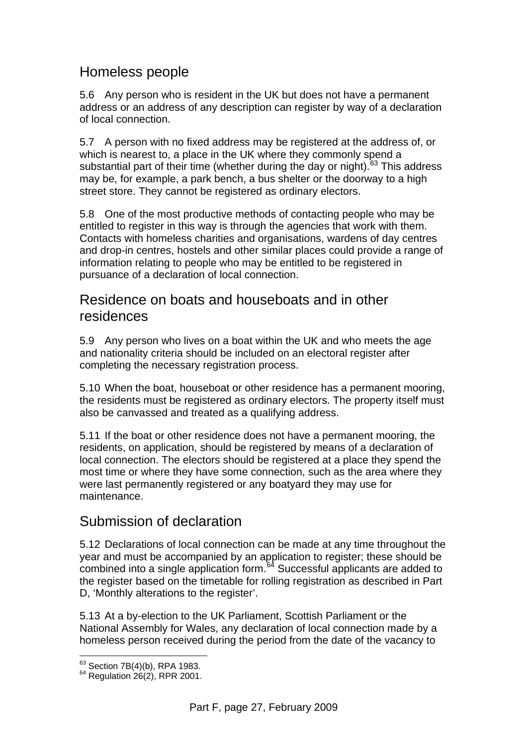## Homeless people

5.6 Any person who is resident in the UK but does not have a permanent address or an address of any description can register by way of a declaration of local connection.

5.7 A person with no fixed address may be registered at the address of, or which is nearest to, a place in the UK where they commonly spend a substantial part of their time (whether during the day or night). $63$  This address may be, for example, a park bench, a bus shelter or the doorway to a high street store. They cannot be registered as ordinary electors.

5.8 One of the most productive methods of contacting people who may be entitled to register in this way is through the agencies that work with them. Contacts with homeless charities and organisations, wardens of day centres and drop-in centres, hostels and other similar places could provide a range of information relating to people who may be entitled to be registered in pursuance of a declaration of local connection.

#### Residence on boats and houseboats and in other residences

5.9 Any person who lives on a boat within the UK and who meets the age and nationality criteria should be included on an electoral register after completing the necessary registration process.

5.10 When the boat, houseboat or other residence has a permanent mooring, the residents must be registered as ordinary electors. The property itself must also be canvassed and treated as a qualifying address.

5.11 If the boat or other residence does not have a permanent mooring, the residents, on application, should be registered by means of a declaration of local connection. The electors should be registered at a place they spend the most time or where they have some connection, such as the area where they were last permanently registered or any boatyard they may use for maintenance.

## Submission of declaration

5.12 Declarations of local connection can be made at any time throughout the year and must be accompanied by an application to register; these should be combined into a single application form. $64$  Successful applicants are added to the register based on the timetable for rolling registration as described in Part D, 'Monthly alterations to the register'.

5.13 At a by-election to the UK Parliament, Scottish Parliament or the National Assembly for Wales, any declaration of local connection made by a homeless person received during the period from the date of the vacancy to

<span id="page-28-0"></span><sup>63</sup> Section 7B(4)(b), RPA 1983.

<span id="page-28-1"></span> $64$  Regulation 26(2), RPR 2001.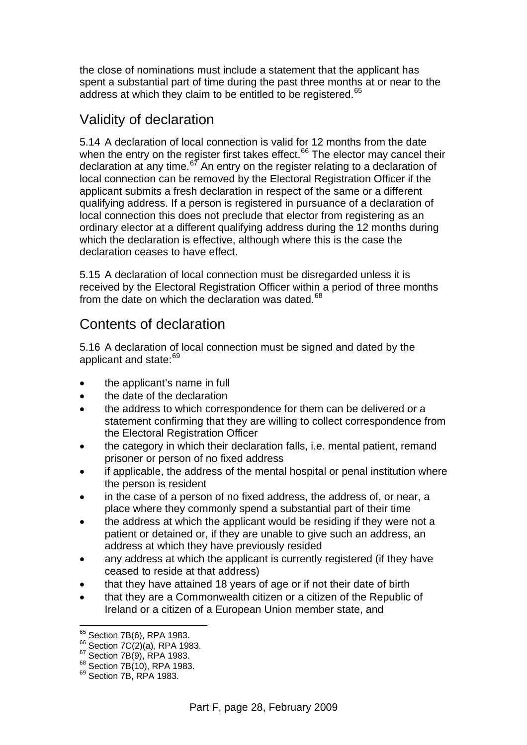the close of nominations must include a statement that the applicant has spent a substantial part of time during the past three months at or near to the address at which they claim to be entitled to be registered.<sup>[65](#page-29-0)</sup>

#### Validity of declaration

5.14 A declaration of local connection is valid for 12 months from the date when the entry on the register first takes effect. $66$  The elector may cancel their declaration at any time. $67$  An entry on the register relating to a declaration of local connection can be removed by the Electoral Registration Officer if the applicant submits a fresh declaration in respect of the same or a different qualifying address. If a person is registered in pursuance of a declaration of local connection this does not preclude that elector from registering as an ordinary elector at a different qualifying address during the 12 months during which the declaration is effective, although where this is the case the declaration ceases to have effect.

5.15 A declaration of local connection must be disregarded unless it is received by the Electoral Registration Officer within a period of three months from the date on which the declaration was dated.<sup>[68](#page-29-3)</sup>

#### Contents of declaration

5.16 A declaration of local connection must be signed and dated by the applicant and state:<sup>[69](#page-29-4)</sup>

- the applicant's name in full
- the date of the declaration
- the address to which correspondence for them can be delivered or a statement confirming that they are willing to collect correspondence from the Electoral Registration Officer
- the category in which their declaration falls, i.e. mental patient, remand prisoner or person of no fixed address
- if applicable, the address of the mental hospital or penal institution where the person is resident
- in the case of a person of no fixed address, the address of, or near, a place where they commonly spend a substantial part of their time
- the address at which the applicant would be residing if they were not a patient or detained or, if they are unable to give such an address, an address at which they have previously resided
- any address at which the applicant is currently registered (if they have ceased to reside at that address)
- that they have attained 18 years of age or if not their date of birth
- that they are a Commonwealth citizen or a citizen of the Republic of Ireland or a citizen of a European Union member state, and

<sup>65</sup> Section 7B(6), RPA 1983.

<span id="page-29-2"></span><span id="page-29-1"></span><span id="page-29-0"></span><sup>66</sup> Section 7C(2)(a), RPA 1983.<br>
<sup>67</sup> Section 7B(9), RPA 1983.<br>
<sup>69</sup> Section 7B(10), RPA 1983.<br>
<sup>69</sup> Section 7B, RPA 1983.

<span id="page-29-3"></span>

<span id="page-29-4"></span>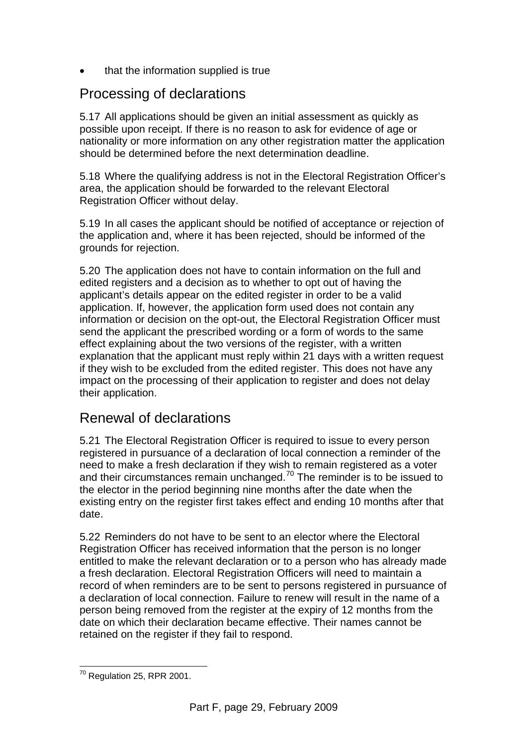that the information supplied is true

## Processing of declarations

5.17 All applications should be given an initial assessment as quickly as possible upon receipt. If there is no reason to ask for evidence of age or nationality or more information on any other registration matter the application should be determined before the next determination deadline.

5.18 Where the qualifying address is not in the Electoral Registration Officer's area, the application should be forwarded to the relevant Electoral Registration Officer without delay.

5.19 In all cases the applicant should be notified of acceptance or rejection of the application and, where it has been rejected, should be informed of the grounds for rejection.

5.20 The application does not have to contain information on the full and edited registers and a decision as to whether to opt out of having the applicant's details appear on the edited register in order to be a valid application. If, however, the application form used does not contain any information or decision on the opt-out, the Electoral Registration Officer must send the applicant the prescribed wording or a form of words to the same effect explaining about the two versions of the register, with a written explanation that the applicant must reply within 21 days with a written request if they wish to be excluded from the edited register. This does not have any impact on the processing of their application to register and does not delay their application.

## Renewal of declarations

5.21 The Electoral Registration Officer is required to issue to every person registered in pursuance of a declaration of local connection a reminder of the need to make a fresh declaration if they wish to remain registered as a voter and their circumstances remain unchanged.<sup>[70](#page-30-0)</sup> The reminder is to be issued to the elector in the period beginning nine months after the date when the existing entry on the register first takes effect and ending 10 months after that date.

5.22 Reminders do not have to be sent to an elector where the Electoral Registration Officer has received information that the person is no longer entitled to make the relevant declaration or to a person who has already made a fresh declaration. Electoral Registration Officers will need to maintain a record of when reminders are to be sent to persons registered in pursuance of a declaration of local connection. Failure to renew will result in the name of a person being removed from the register at the expiry of 12 months from the date on which their declaration became effective. Their names cannot be retained on the register if they fail to respond.

<span id="page-30-0"></span> $\overline{a}$  $70$  Regulation 25, RPR 2001.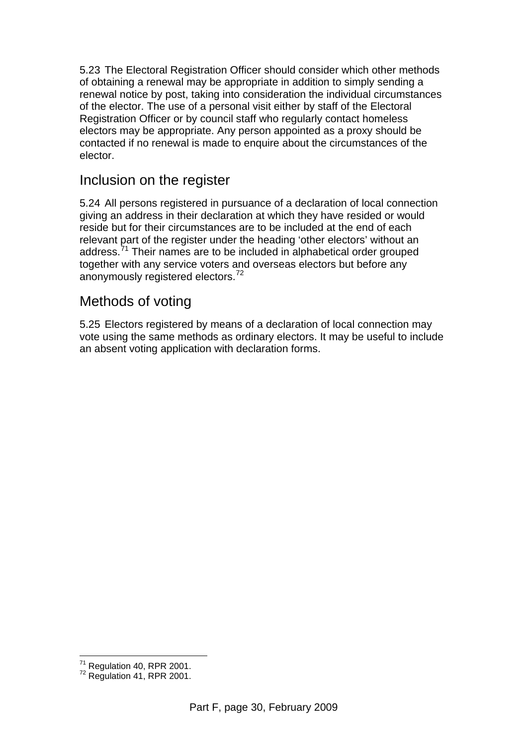5.23 The Electoral Registration Officer should consider which other methods of obtaining a renewal may be appropriate in addition to simply sending a renewal notice by post, taking into consideration the individual circumstances of the elector. The use of a personal visit either by staff of the Electoral Registration Officer or by council staff who regularly contact homeless electors may be appropriate. Any person appointed as a proxy should be contacted if no renewal is made to enquire about the circumstances of the elector.

#### Inclusion on the register

5.24 All persons registered in pursuance of a declaration of local connection giving an address in their declaration at which they have resided or would reside but for their circumstances are to be included at the end of each relevant part of the register under the heading 'other electors' without an address.[71](#page-31-0) Their names are to be included in alphabetical order grouped together with any service voters and overseas electors but before any anonymously registered electors.<sup>[72](#page-31-1)</sup>

## Methods of voting

5.25 Electors registered by means of a declaration of local connection may vote using the same methods as ordinary electors. It may be useful to include an absent voting application with declaration forms.

 $\overline{a}$ 

<span id="page-31-1"></span><span id="page-31-0"></span> $^{71}$  Regulation 40, RPR 2001.<br> $^{72}$  Regulation 41, RPR 2001.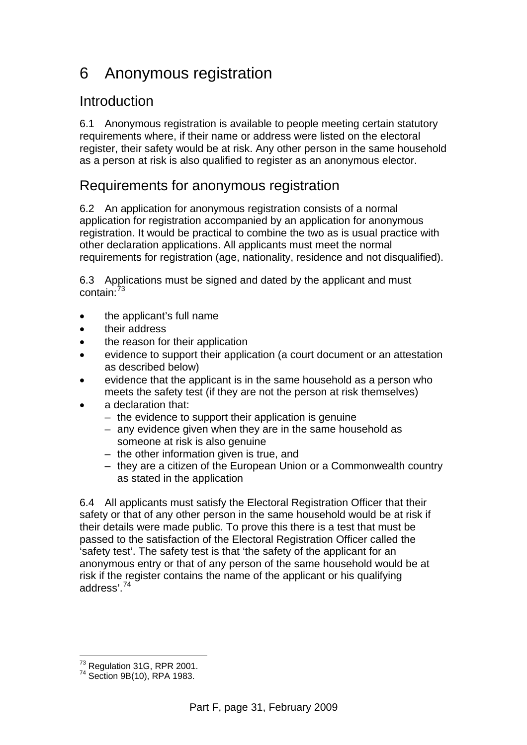## 6 Anonymous registration

## Introduction

6.1 Anonymous registration is available to people meeting certain statutory requirements where, if their name or address were listed on the electoral register, their safety would be at risk. Any other person in the same household as a person at risk is also qualified to register as an anonymous elector.

#### Requirements for anonymous registration

6.2 An application for anonymous registration consists of a normal application for registration accompanied by an application for anonymous registration. It would be practical to combine the two as is usual practice with other declaration applications. All applicants must meet the normal requirements for registration (age, nationality, residence and not disqualified).

6.3 Applications must be signed and dated by the applicant and must contain:[73](#page-32-0)

- the applicant's full name
- their address
- the reason for their application
- evidence to support their application (a court document or an attestation as described below)
- evidence that the applicant is in the same household as a person who meets the safety test (if they are not the person at risk themselves)
- a declaration that:
	- the evidence to support their application is genuine
	- any evidence given when they are in the same household as someone at risk is also genuine
	- the other information given is true, and
	- they are a citizen of the European Union or a Commonwealth country as stated in the application

6.4 All applicants must satisfy the Electoral Registration Officer that their safety or that of any other person in the same household would be at risk if their details were made public. To prove this there is a test that must be passed to the satisfaction of the Electoral Registration Officer called the 'safety test'. The safety test is that 'the safety of the applicant for an anonymous entry or that of any person of the same household would be at risk if the register contains the name of the applicant or his qualifying address'.[74](#page-32-1)

<span id="page-32-0"></span> $\overline{a}$ <sup>73</sup> Regulation 31G, RPR 2001.<br><sup>74</sup> Section 9B(10), RPA 1983.

<span id="page-32-1"></span>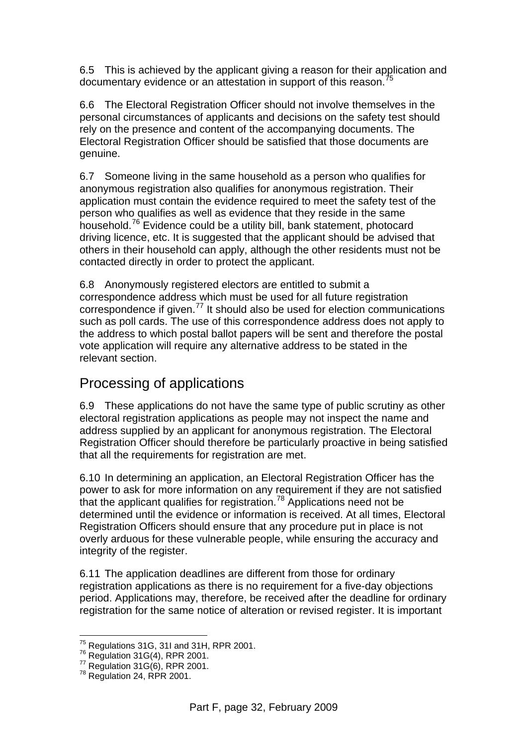6.5 This is achieved by the applicant giving a reason for their application and documentary evidence or an attestation in support of this reason.<sup>[75](#page-33-0)</sup>

6.6 The Electoral Registration Officer should not involve themselves in the personal circumstances of applicants and decisions on the safety test should rely on the presence and content of the accompanying documents. The Electoral Registration Officer should be satisfied that those documents are genuine.

6.7 Someone living in the same household as a person who qualifies for anonymous registration also qualifies for anonymous registration. Their application must contain the evidence required to meet the safety test of the person who qualifies as well as evidence that they reside in the same household.[76](#page-33-1) Evidence could be a utility bill, bank statement, photocard driving licence, etc. It is suggested that the applicant should be advised that others in their household can apply, although the other residents must not be contacted directly in order to protect the applicant.

6.8 Anonymously registered electors are entitled to submit a correspondence address which must be used for all future registration correspondence if given.[77](#page-33-2) It should also be used for election communications such as poll cards. The use of this correspondence address does not apply to the address to which postal ballot papers will be sent and therefore the postal vote application will require any alternative address to be stated in the relevant section.

## Processing of applications

6.9 These applications do not have the same type of public scrutiny as other electoral registration applications as people may not inspect the name and address supplied by an applicant for anonymous registration. The Electoral Registration Officer should therefore be particularly proactive in being satisfied that all the requirements for registration are met.

6.10 In determining an application, an Electoral Registration Officer has the power to ask for more information on any requirement if they are not satisfied that the applicant qualifies for registration.<sup>[78](#page-33-3)</sup> Applications need not be determined until the evidence or information is received. At all times, Electoral Registration Officers should ensure that any procedure put in place is not overly arduous for these vulnerable people, while ensuring the accuracy and integrity of the register.

6.11 The application deadlines are different from those for ordinary registration applications as there is no requirement for a five-day objections period. Applications may, therefore, be received after the deadline for ordinary registration for the same notice of alteration or revised register. It is important

 $75$  Regulations 31G, 31I and 31H, RPR 2001.

<span id="page-33-2"></span><span id="page-33-1"></span><span id="page-33-0"></span> $76$  Regulations 31G(4), RPR 2001.<br>  $77$  Regulation 31G(6), RPR 2001.<br>  $78$  Regulation 24, RPR 2001.

<span id="page-33-3"></span>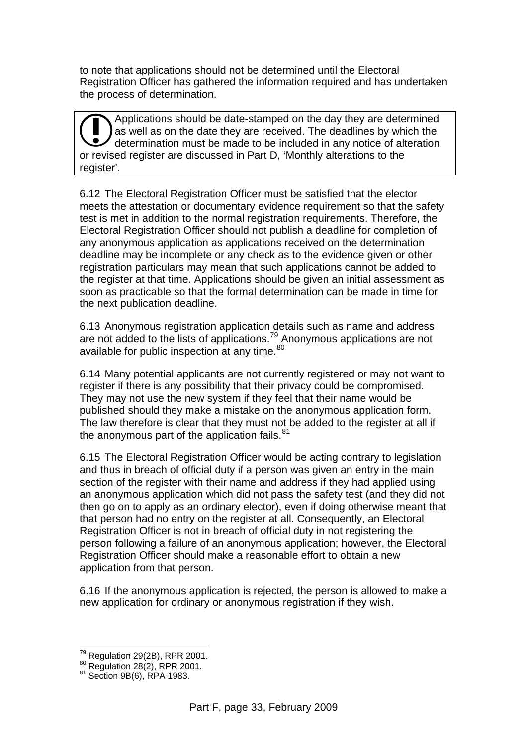to note that applications should not be determined until the Electoral Registration Officer has gathered the information required and has undertaken the process of determination.

Applications should be date-stamped on the day they are determined as well as on the date they are received. The deadlines by which the determination must be made to be included in any notice of alteration **CO** Applications should be date-stamped on the day they are dete as well as on the date they are received. The deadlines by white determination must be made to be included in any notice of alt or revised register are disc register'.

6.12 The Electoral Registration Officer must be satisfied that the elector meets the attestation or documentary evidence requirement so that the safety test is met in addition to the normal registration requirements. Therefore, the Electoral Registration Officer should not publish a deadline for completion of any anonymous application as applications received on the determination deadline may be incomplete or any check as to the evidence given or other registration particulars may mean that such applications cannot be added to the register at that time. Applications should be given an initial assessment as soon as practicable so that the formal determination can be made in time for the next publication deadline.

6.13 Anonymous registration application details such as name and address are not added to the lists of applications.<sup>[79](#page-34-0)</sup> Anonymous applications are not available for public inspection at any time.<sup>[80](#page-34-1)</sup>

6.14 Many potential applicants are not currently registered or may not want to register if there is any possibility that their privacy could be compromised. They may not use the new system if they feel that their name would be published should they make a mistake on the anonymous application form. The law therefore is clear that they must not be added to the register at all if the anonymous part of the application fails. $81$ 

6.15 The Electoral Registration Officer would be acting contrary to legislation and thus in breach of official duty if a person was given an entry in the main section of the register with their name and address if they had applied using an anonymous application which did not pass the safety test (and they did not then go on to apply as an ordinary elector), even if doing otherwise meant that that person had no entry on the register at all. Consequently, an Electoral Registration Officer is not in breach of official duty in not registering the person following a failure of an anonymous application; however, the Electoral Registration Officer should make a reasonable effort to obtain a new application from that person.

6.16 If the anonymous application is rejected, the person is allowed to make a new application for ordinary or anonymous registration if they wish.

 $\overline{a}$ 

<span id="page-34-1"></span><span id="page-34-0"></span><sup>&</sup>lt;sup>79</sup> Regulation 29(2B), RPR 2001.<br><sup>80</sup> Regulation 28(2), RPR 2001.<br><sup>81</sup> Section 9B(6), RPA 1983.

<span id="page-34-2"></span>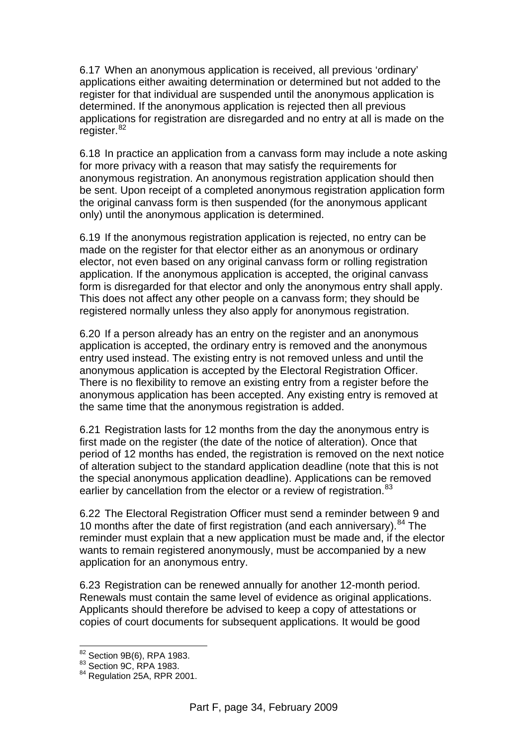6.17 When an anonymous application is received, all previous 'ordinary' applications either awaiting determination or determined but not added to the register for that individual are suspended until the anonymous application is determined. If the anonymous application is rejected then all previous applications for registration are disregarded and no entry at all is made on the register.<sup>[82](#page-35-0)</sup>

6.18 In practice an application from a canvass form may include a note asking for more privacy with a reason that may satisfy the requirements for anonymous registration. An anonymous registration application should then be sent. Upon receipt of a completed anonymous registration application form the original canvass form is then suspended (for the anonymous applicant only) until the anonymous application is determined.

6.19 If the anonymous registration application is rejected, no entry can be made on the register for that elector either as an anonymous or ordinary elector, not even based on any original canvass form or rolling registration application. If the anonymous application is accepted, the original canvass form is disregarded for that elector and only the anonymous entry shall apply. This does not affect any other people on a canvass form; they should be registered normally unless they also apply for anonymous registration.

6.20 If a person already has an entry on the register and an anonymous application is accepted, the ordinary entry is removed and the anonymous entry used instead. The existing entry is not removed unless and until the anonymous application is accepted by the Electoral Registration Officer. There is no flexibility to remove an existing entry from a register before the anonymous application has been accepted. Any existing entry is removed at the same time that the anonymous registration is added.

6.21 Registration lasts for 12 months from the day the anonymous entry is first made on the register (the date of the notice of alteration). Once that period of 12 months has ended, the registration is removed on the next notice of alteration subject to the standard application deadline (note that this is not the special anonymous application deadline). Applications can be removed earlier by cancellation from the elector or a review of registration.<sup>[83](#page-35-1)</sup>

6.22 The Electoral Registration Officer must send a reminder between 9 and 10 months after the date of first registration (and each anniversary). <sup>[84](#page-35-2)</sup> The reminder must explain that a new application must be made and, if the elector wants to remain registered anonymously, must be accompanied by a new application for an anonymous entry.

6.23 Registration can be renewed annually for another 12-month period. Renewals must contain the same level of evidence as original applications. Applicants should therefore be advised to keep a copy of attestations or copies of court documents for subsequent applications. It would be good

 $\overline{a}$ 

<span id="page-35-0"></span><sup>&</sup>lt;sup>82</sup> Section 9B(6), RPA 1983.<br><sup>83</sup> Section 9C, RPA 1983.

<span id="page-35-2"></span><span id="page-35-1"></span><sup>&</sup>lt;sup>84</sup> Regulation 25A, RPR 2001.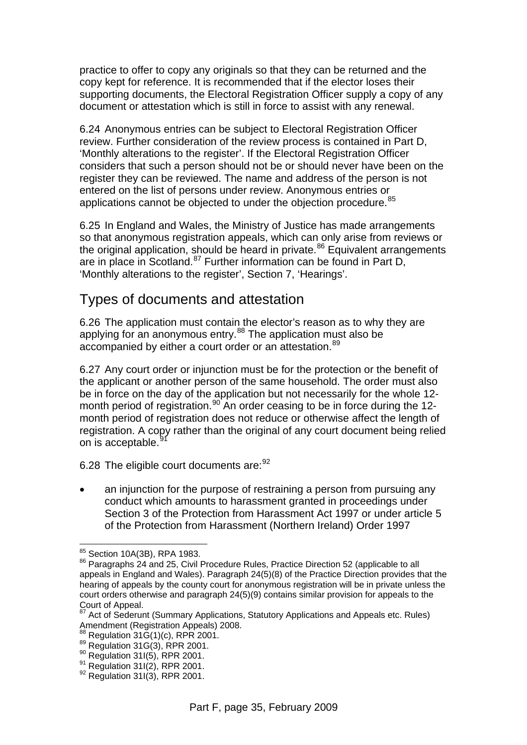practice to offer to copy any originals so that they can be returned and the copy kept for reference. It is recommended that if the elector loses their supporting documents, the Electoral Registration Officer supply a copy of any document or attestation which is still in force to assist with any renewal.

6.24 Anonymous entries can be subject to Electoral Registration Officer review. Further consideration of the review process is contained in Part D, 'Monthly alterations to the register'. If the Electoral Registration Officer considers that such a person should not be or should never have been on the register they can be reviewed. The name and address of the person is not entered on the list of persons under review. Anonymous entries or applications cannot be objected to under the objection procedure.<sup>[85](#page-36-0)</sup>

6.25 In England and Wales, the Ministry of Justice has made arrangements so that anonymous registration appeals, which can only arise from reviews or the original application, should be heard in private.<sup>86</sup> Equivalent arrangements are in place in Scotland.<sup>[87](#page-36-2)</sup> Further information can be found in Part D, 'Monthly alterations to the register', Section 7, 'Hearings'.

#### Types of documents and attestation

6.26 The application must contain the elector's reason as to why they are applying for an anonymous entry.<sup>88</sup> The application must also be accompanied by either a court order or an attestation.<sup>[89](#page-36-4)</sup>

6.27 Any court order or injunction must be for the protection or the benefit of the applicant or another person of the same household. The order must also be in force on the day of the application but not necessarily for the whole 12 month period of registration.<sup>90</sup> An order ceasing to be in force during the 12month period of registration does not reduce or otherwise affect the length of registration. A copy rather than the original of any court document being relied on is acceptable.

6.28 The eligible court documents are: <sup>[92](#page-36-7)</sup>

• an injunction for the purpose of restraining a person from pursuing any conduct which amounts to harassment granted in proceedings under Section 3 of the Protection from Harassment Act 1997 or under article 5 of the Protection from Harassment (Northern Ireland) Order 1997

<sup>85</sup> Section 10A(3B), RPA 1983.

<span id="page-36-1"></span><span id="page-36-0"></span><sup>86</sup> Paragraphs 24 and 25, Civil Procedure Rules, Practice Direction 52 (applicable to all appeals in England and Wales). Paragraph 24(5)(8) of the Practice Direction provides that the hearing of appeals by the county court for anonymous registration will be in private unless the court orders otherwise and paragraph 24(5)(9) contains similar provision for appeals to the Court of Appeal.

<span id="page-36-2"></span><sup>87</sup> Act of Sederunt (Summary Applications, Statutory Applications and Appeals etc. Rules) Amendment (Registration Appeals) 2008.<br><sup>88</sup> Regulation 31G(1)(c), RPR 2001.

<span id="page-36-5"></span><span id="page-36-4"></span><span id="page-36-3"></span><sup>89</sup> Regulation 31G(3), RPR 2001.<br>
<sup>90</sup> Regulation 31I(5), RPR 2001.<br>
<sup>91</sup> Regulation 31I(2), RPR 2001.<br>
<sup>92</sup> Regulation 31I(3), RPR 2001.

<span id="page-36-6"></span>

<span id="page-36-7"></span>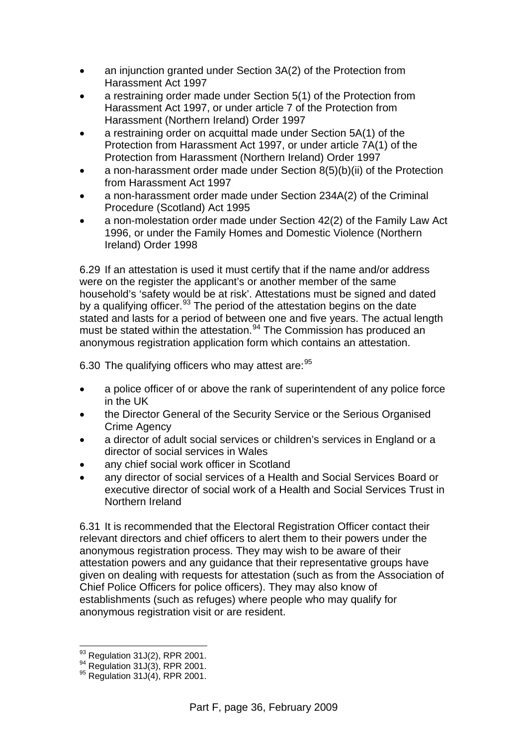- an injunction granted under Section 3A(2) of the Protection from Harassment Act 1997
- a restraining order made under Section 5(1) of the Protection from Harassment Act 1997, or under article 7 of the Protection from Harassment (Northern Ireland) Order 1997
- a restraining order on acquittal made under Section 5A(1) of the Protection from Harassment Act 1997, or under article 7A(1) of the Protection from Harassment (Northern Ireland) Order 1997
- a non-harassment order made under Section 8(5)(b)(ii) of the Protection from Harassment Act 1997
- a non-harassment order made under Section 234A(2) of the Criminal Procedure (Scotland) Act 1995
- a non-molestation order made under Section 42(2) of the Family Law Act 1996, or under the Family Homes and Domestic Violence (Northern Ireland) Order 1998

6.29 If an attestation is used it must certify that if the name and/or address were on the register the applicant's or another member of the same household's 'safety would be at risk'. Attestations must be signed and dated by a qualifying officer.<sup>[93](#page-37-0)</sup> The period of the attestation begins on the date stated and lasts for a period of between one and five years. The actual length must be stated within the attestation.<sup>[94](#page-37-1)</sup> The Commission has produced an anonymous registration application form which contains an attestation.

6.30 The qualifying officers who may attest are: [95](#page-37-2)

- a police officer of or above the rank of superintendent of any police force in the UK
- the Director General of the Security Service or the Serious Organised Crime Agency
- a director of adult social services or children's services in England or a director of social services in Wales
- any chief social work officer in Scotland
- any director of social services of a Health and Social Services Board or executive director of social work of a Health and Social Services Trust in Northern Ireland

6.31 It is recommended that the Electoral Registration Officer contact their relevant directors and chief officers to alert them to their powers under the anonymous registration process. They may wish to be aware of their attestation powers and any guidance that their representative groups have given on dealing with requests for attestation (such as from the Association of Chief Police Officers for police officers). They may also know of establishments (such as refuges) where people who may qualify for anonymous registration visit or are resident.

 $\overline{a}$ 

<span id="page-37-1"></span><span id="page-37-0"></span><sup>&</sup>lt;sup>93</sup> Regulation 31J(2), RPR 2001.<br><sup>94</sup> Regulation 31J(3), RPR 2001.<br><sup>95</sup> Regulation 31J(4), RPR 2001.

<span id="page-37-2"></span>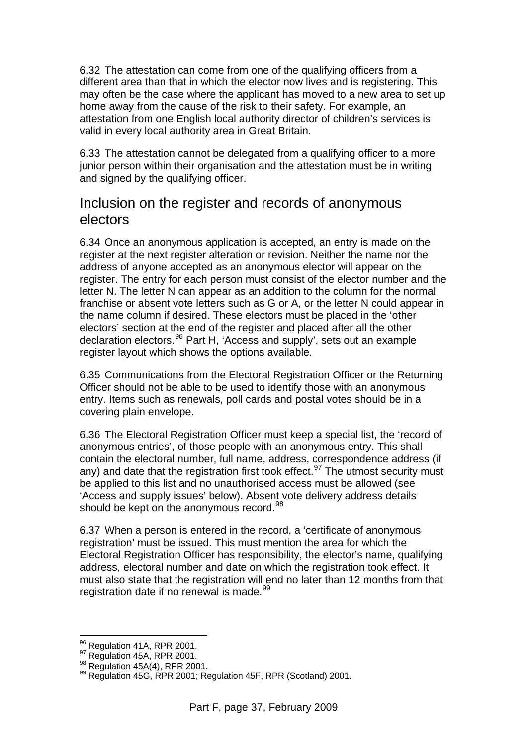6.32 The attestation can come from one of the qualifying officers from a different area than that in which the elector now lives and is registering. This may often be the case where the applicant has moved to a new area to set up home away from the cause of the risk to their safety. For example, an attestation from one English local authority director of children's services is valid in every local authority area in Great Britain.

6.33 The attestation cannot be delegated from a qualifying officer to a more junior person within their organisation and the attestation must be in writing and signed by the qualifying officer.

#### Inclusion on the register and records of anonymous electors

6.34 Once an anonymous application is accepted, an entry is made on the register at the next register alteration or revision. Neither the name nor the address of anyone accepted as an anonymous elector will appear on the register. The entry for each person must consist of the elector number and the letter N. The letter N can appear as an addition to the column for the normal franchise or absent vote letters such as G or A, or the letter N could appear in the name column if desired. These electors must be placed in the 'other electors' section at the end of the register and placed after all the other declaration electors.[96](#page-38-0) Part H, 'Access and supply', sets out an example register layout which shows the options available.

6.35 Communications from the Electoral Registration Officer or the Returning Officer should not be able to be used to identify those with an anonymous entry. Items such as renewals, poll cards and postal votes should be in a covering plain envelope.

6.36 The Electoral Registration Officer must keep a special list, the 'record of anonymous entries', of those people with an anonymous entry. This shall contain the electoral number, full name, address, correspondence address (if any) and date that the registration first took effect.<sup>[97](#page-38-1)</sup> The utmost security must be applied to this list and no unauthorised access must be allowed (see 'Access and supply issues' below). Absent vote delivery address details should be kept on the anonymous record.<sup>[98](#page-38-2)</sup>

6.37 When a person is entered in the record, a 'certificate of anonymous registration' must be issued. This must mention the area for which the Electoral Registration Officer has responsibility, the elector's name, qualifying address, electoral number and date on which the registration took effect. It must also state that the registration will end no later than 12 months from that registration date if no renewal is made.<sup>[99](#page-38-3)</sup>

<sup>96</sup> Regulation 41A, RPR 2001.

<span id="page-38-3"></span>

<span id="page-38-2"></span><span id="page-38-1"></span><span id="page-38-0"></span><sup>97</sup> Regulation 45A, RPR 2001.<br>
98 Regulation 45A(4), RPR 2001.<br>
99 Regulation 45G, RPR 2001; Regulation 45F, RPR (Scotland) 2001.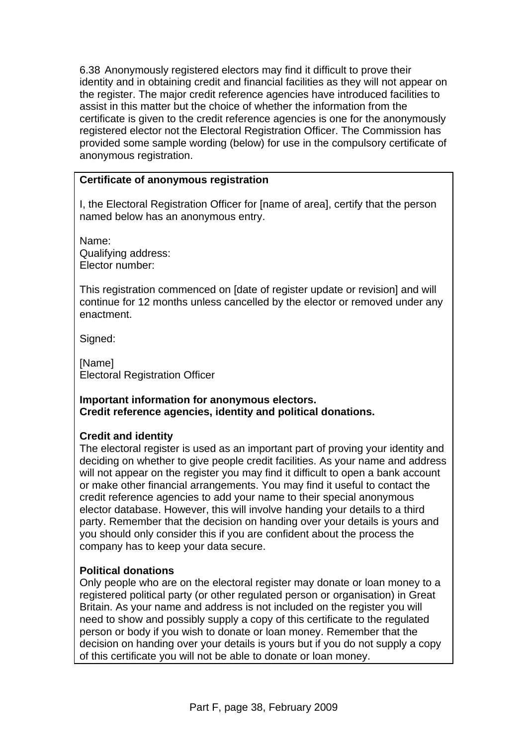6.38 Anonymously registered electors may find it difficult to prove their identity and in obtaining credit and financial facilities as they will not appear on the register. The major credit reference agencies have introduced facilities to assist in this matter but the choice of whether the information from the certificate is given to the credit reference agencies is one for the anonymously registered elector not the Electoral Registration Officer. The Commission has provided some sample wording (below) for use in the compulsory certificate of anonymous registration.

#### **Certificate of anonymous registration**

I, the Electoral Registration Officer for [name of area], certify that the person named below has an anonymous entry.

Name: Qualifying address: Elector number:

This registration commenced on [date of register update or revision] and will continue for 12 months unless cancelled by the elector or removed under any enactment.

Signed:

[Name] Electoral Registration Officer

#### **Important information for anonymous electors. Credit reference agencies, identity and political donations.**

#### **Credit and identity**

The electoral register is used as an important part of proving your identity and deciding on whether to give people credit facilities. As your name and address will not appear on the register you may find it difficult to open a bank account or make other financial arrangements. You may find it useful to contact the credit reference agencies to add your name to their special anonymous elector database. However, this will involve handing your details to a third party. Remember that the decision on handing over your details is yours and you should only consider this if you are confident about the process the company has to keep your data secure.

#### **Political donations**

Only people who are on the electoral register may donate or loan money to a registered political party (or other regulated person or organisation) in Great Britain. As your name and address is not included on the register you will need to show and possibly supply a copy of this certificate to the regulated person or body if you wish to donate or loan money. Remember that the decision on handing over your details is yours but if you do not supply a copy of this certificate you will not be able to donate or loan money.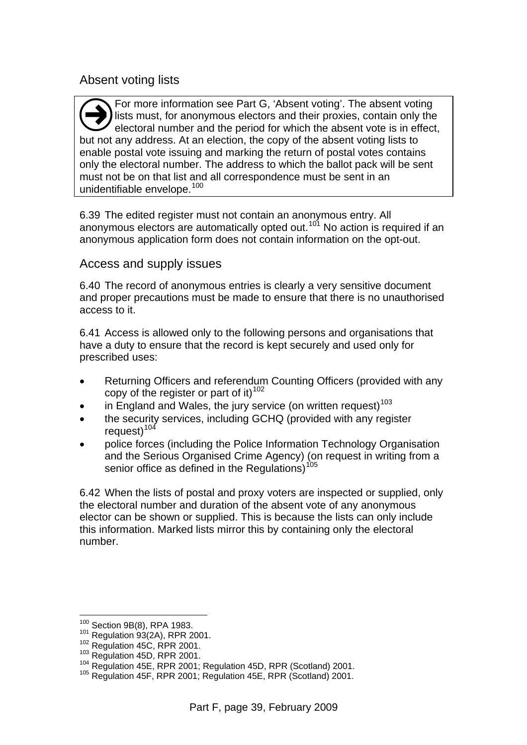#### Absent voting lists

For more information see Part G, 'Absent voting'. The absent voting lists must, for anonymous electors and their proxies, contain only the electoral number and the period for which the absent vote is in effect, **but not any address.** At an election, the copy of the absent voting is to but not any address. At an election, the copy of the absent voting lists to enable postal vote issuing and marking the return of postal votes contains only the electoral number. The address to which the ballot pack will be sent must not be on that list and all correspondence must be sent in an unidentifiable envelope.<sup>[100](#page-40-0)</sup>

6.39 The edited register must not contain an anonymous entry. All anonymous electors are automatically opted out.<sup>101</sup> No action is required if an anonymous application form does not contain information on the opt-out.

#### Access and supply issues

6.40 The record of anonymous entries is clearly a very sensitive document and proper precautions must be made to ensure that there is no unauthorised access to it.

6.41 Access is allowed only to the following persons and organisations that have a duty to ensure that the record is kept securely and used only for prescribed uses:

- Returning Officers and referendum Counting Officers (provided with any copy of the register or part of it) $102$
- in England and Wales, the jury service (on written request)<sup>[103](#page-40-3)</sup>
- the security services, including GCHQ (provided with any register request $10^{104}$  $10^{104}$  $10^{104}$
- police forces (including the Police Information Technology Organisation and the Serious Organised Crime Agency) (on request in writing from a senior office as defined in the Regulations)<sup>[105](#page-40-5)</sup>

6.42 When the lists of postal and proxy voters are inspected or supplied, only the electoral number and duration of the absent vote of any anonymous elector can be shown or supplied. This is because the lists can only include this information. Marked lists mirror this by containing only the electoral number.

<sup>&</sup>lt;sup>100</sup> Section 9B(8), RPA 1983.

<span id="page-40-3"></span>

<span id="page-40-2"></span><span id="page-40-1"></span><span id="page-40-0"></span><sup>&</sup>lt;sup>101</sup> Regulation 93(2A), RPR 2001.<br><sup>102</sup> Regulation 45C, RPR 2001.<br><sup>103</sup> Regulation 45D, RPR 2001.<br><sup>104</sup> Regulation 45E, RPR 2001; Regulation 45D, RPR (Scotland) 2001.<br><sup>105</sup> Regulation 45F, RPR 2001; Regulation 45E, RPR (

<span id="page-40-5"></span><span id="page-40-4"></span>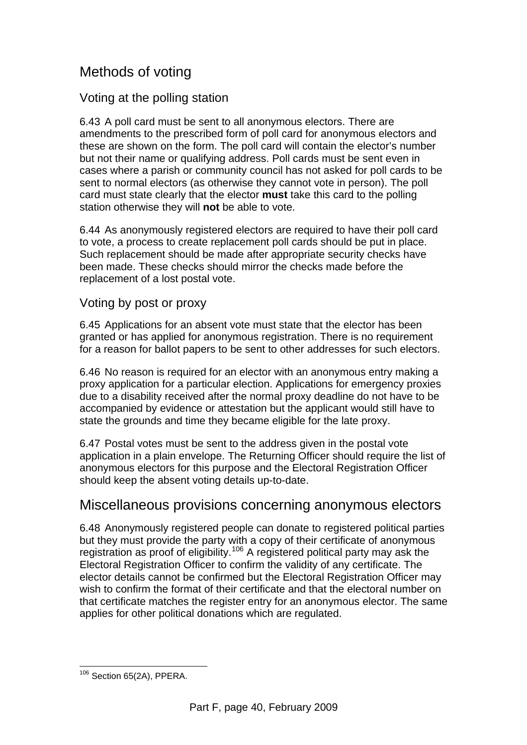## Methods of voting

#### Voting at the polling station

6.43 A poll card must be sent to all anonymous electors. There are amendments to the prescribed form of poll card for anonymous electors and these are shown on the form. The poll card will contain the elector's number but not their name or qualifying address. Poll cards must be sent even in cases where a parish or community council has not asked for poll cards to be sent to normal electors (as otherwise they cannot vote in person). The poll card must state clearly that the elector **must** take this card to the polling station otherwise they will **not** be able to vote.

6.44 As anonymously registered electors are required to have their poll card to vote, a process to create replacement poll cards should be put in place. Such replacement should be made after appropriate security checks have been made. These checks should mirror the checks made before the replacement of a lost postal vote.

#### Voting by post or proxy

6.45 Applications for an absent vote must state that the elector has been granted or has applied for anonymous registration. There is no requirement for a reason for ballot papers to be sent to other addresses for such electors.

6.46 No reason is required for an elector with an anonymous entry making a proxy application for a particular election. Applications for emergency proxies due to a disability received after the normal proxy deadline do not have to be accompanied by evidence or attestation but the applicant would still have to state the grounds and time they became eligible for the late proxy.

6.47 Postal votes must be sent to the address given in the postal vote application in a plain envelope. The Returning Officer should require the list of anonymous electors for this purpose and the Electoral Registration Officer should keep the absent voting details up-to-date.

#### Miscellaneous provisions concerning anonymous electors

6.48 Anonymously registered people can donate to registered political parties but they must provide the party with a copy of their certificate of anonymous registration as proof of eligibility.<sup>[106](#page-41-0)</sup> A registered political party may ask the Electoral Registration Officer to confirm the validity of any certificate. The elector details cannot be confirmed but the Electoral Registration Officer may wish to confirm the format of their certificate and that the electoral number on that certificate matches the register entry for an anonymous elector. The same applies for other political donations which are regulated.

<span id="page-41-0"></span> $\overline{a}$ <sup>106</sup> Section 65(2A), PPERA.